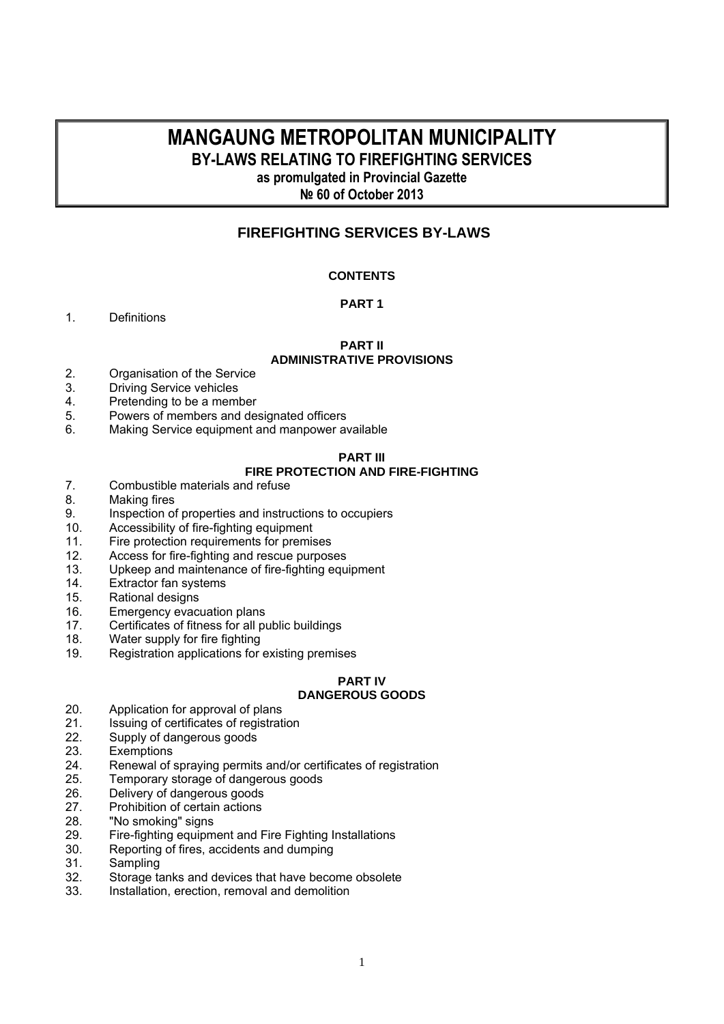## **MANGAUNG METROPOLITAN MUNICIPALITY BY-LAWS RELATING TO FIREFIGHTING SERVICES**

**as promulgated in Provincial Gazette** 

**№ 60 of October 2013** 

## **FIREFIGHTING SERVICES BY-LAWS**

## **CONTENTS**

## **PART 1**

1. Definitions

#### **PART II ADMINISTRATIVE PROVISIONS**

- 2. Organisation of the Service<br>3. Driving Service vehicles
- **Driving Service vehicles**
- 4. Pretending to be a member
- 5. Powers of members and designated officers
- 6. Making Service equipment and manpower available

## **PART III**

## **FIRE PROTECTION AND FIRE-FIGHTING**

- 7. Combustible materials and refuse
- 8. Making fires<br>9. Inspection of
- 9. Inspection of properties and instructions to occupiers<br>10. Accessibility of fire-fighting equipment
- Accessibility of fire-fighting equipment
- 11. Fire protection requirements for premises
- 12. Access for fire-fighting and rescue purposes
- 13. Upkeep and maintenance of fire-fighting equipment
- 14. Extractor fan systems
- 15. Rational designs
- 16. Emergency evacuation plans
- 17. Certificates of fitness for all public buildings
- 18. Water supply for fire fighting
- 19. Registration applications for existing premises

#### **PART IV DANGEROUS GOODS**

- 20. Application for approval of plans
- 21. Issuing of certificates of registration
- 22. Supply of dangerous goods
- 23. Exemptions
- 24. Renewal of spraying permits and/or certificates of registration<br>25. Temporary storage of dangerous goods
- 25. Temporary storage of dangerous goods
- 26. Delivery of dangerous goods
- 27. Prohibition of certain actions<br>28. The smoking signs
- "No smoking" signs
- 29. Fire-fighting equipment and Fire Fighting Installations
- 30. Reporting of fires, accidents and dumping
- 31. Sampling
- 32. Storage tanks and devices that have become obsolete
- 33. Installation, erection, removal and demolition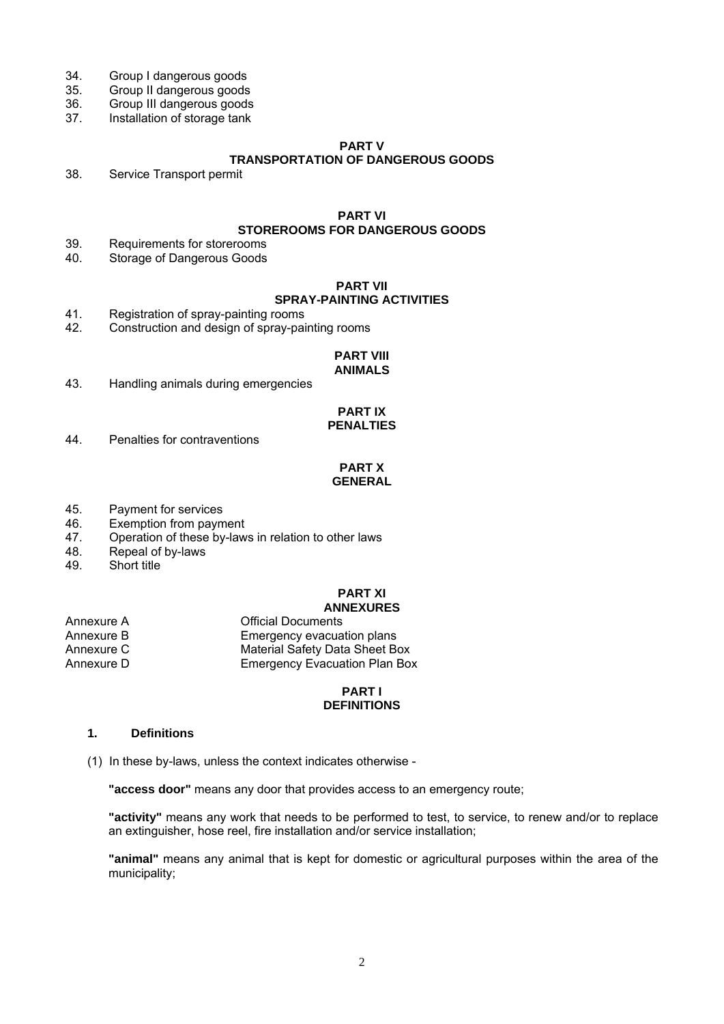- 34. Group I dangerous goods<br>35. Group II dangerous goods
- 35. Group II dangerous goods
- 36. Group III dangerous goods<br>37. Installation of storage tank
- Installation of storage tank

## **PART V**

## **TRANSPORTATION OF DANGEROUS GOODS**

38. Service Transport permit

## **PART VI**

## **STOREROOMS FOR DANGEROUS GOODS**

- 39. Requirements for storerooms
- 40. Storage of Dangerous Goods

## **PART VII**

## **SPRAY-PAINTING ACTIVITIES**

- 41. Registration of spray-painting rooms
- 42. Construction and design of spray-painting rooms

#### **PART VIII ANIMALS**

43. Handling animals during emergencies

## **PART IX PENALTIES**

44. Penalties for contraventions

## **PART X GENERAL**

- 45. Payment for services
- 46. Exemption from payment
- 47. Operation of these by-laws in relation to other laws
- 48. Repeal of by-laws<br>49. Short title
- Short title

#### **PART XI ANNEXURES**

| <b>Official Documents</b>            |
|--------------------------------------|
| Emergency evacuation plans           |
| Material Safety Data Sheet Box       |
| <b>Emergency Evacuation Plan Box</b> |
|                                      |

## **PART I DEFINITIONS**

## **1. Definitions**

(1) In these by-laws, unless the context indicates otherwise -

**"access door"** means any door that provides access to an emergency route;

**"activity"** means any work that needs to be performed to test, to service, to renew and/or to replace an extinguisher, hose reel, fire installation and/or service installation;

**"animal"** means any animal that is kept for domestic or agricultural purposes within the area of the municipality;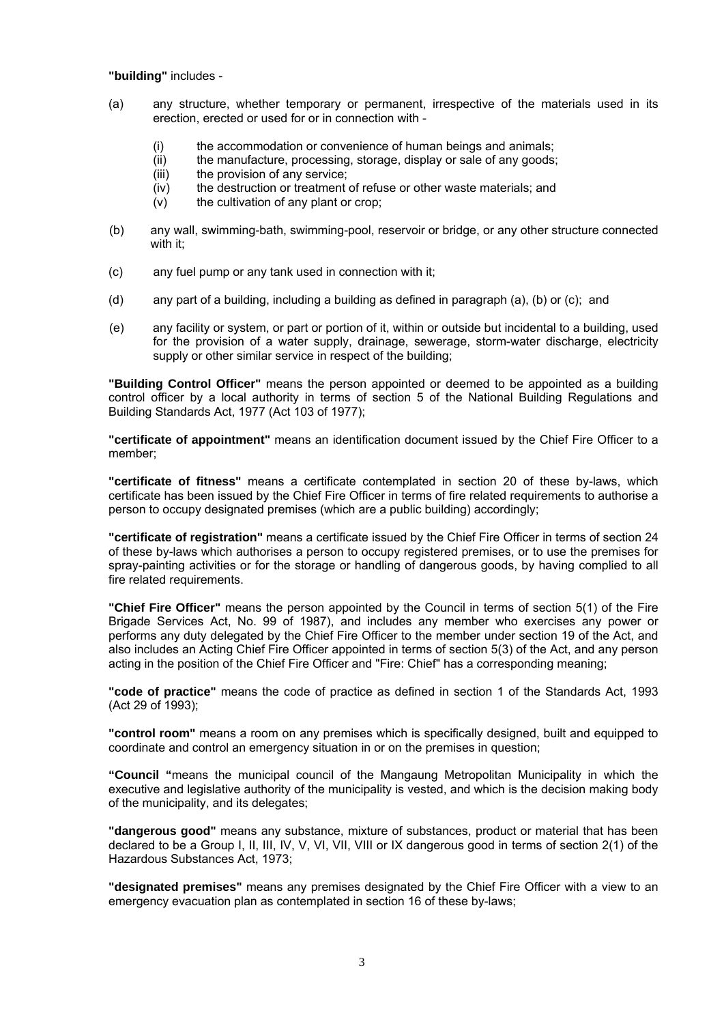#### **"building"** includes -

- (a) any structure, whether temporary or permanent, irrespective of the materials used in its erection, erected or used for or in connection with -
	- (i) the accommodation or convenience of human beings and animals;
	- (ii) the manufacture, processing, storage, display or sale of any goods;
	- (iii) the provision of any service;
	- (iv) the destruction or treatment of refuse or other waste materials; and
	- $(v)$  the cultivation of any plant or crop;
- (b) any wall, swimming-bath, swimming-pool, reservoir or bridge, or any other structure connected with it;
- (c) any fuel pump or any tank used in connection with it;
- (d) any part of a building, including a building as defined in paragraph (a), (b) or (c); and
- (e) any facility or system, or part or portion of it, within or outside but incidental to a building, used for the provision of a water supply, drainage, sewerage, storm-water discharge, electricity supply or other similar service in respect of the building;

**"Building Control Officer"** means the person appointed or deemed to be appointed as a building control officer by a local authority in terms of section 5 of the National Building Regulations and Building Standards Act, 1977 (Act 103 of 1977);

**"certificate of appointment"** means an identification document issued by the Chief Fire Officer to a member;

**"certificate of fitness"** means a certificate contemplated in section 20 of these by-laws, which certificate has been issued by the Chief Fire Officer in terms of fire related requirements to authorise a person to occupy designated premises (which are a public building) accordingly;

**"certificate of registration"** means a certificate issued by the Chief Fire Officer in terms of section 24 of these by-laws which authorises a person to occupy registered premises, or to use the premises for spray-painting activities or for the storage or handling of dangerous goods, by having complied to all fire related requirements.

**"Chief Fire Officer"** means the person appointed by the Council in terms of section 5(1) of the Fire Brigade Services Act, No. 99 of 1987), and includes any member who exercises any power or performs any duty delegated by the Chief Fire Officer to the member under section 19 of the Act, and also includes an Acting Chief Fire Officer appointed in terms of section 5(3) of the Act, and any person acting in the position of the Chief Fire Officer and "Fire: Chief" has a corresponding meaning;

**"code of practice"** means the code of practice as defined in section 1 of the Standards Act, 1993 (Act 29 of 1993);

**"control room"** means a room on any premises which is specifically designed, built and equipped to coordinate and control an emergency situation in or on the premises in question;

**"Council "**means the municipal council of the Mangaung Metropolitan Municipality in which the executive and legislative authority of the municipality is vested, and which is the decision making body of the municipality, and its delegates;

**"dangerous good"** means any substance, mixture of substances, product or material that has been declared to be a Group I, II, III, IV, V, VI, VII, VIII or IX dangerous good in terms of section 2(1) of the Hazardous Substances Act, 1973;

**"designated premises"** means any premises designated by the Chief Fire Officer with a view to an emergency evacuation plan as contemplated in section 16 of these by-laws;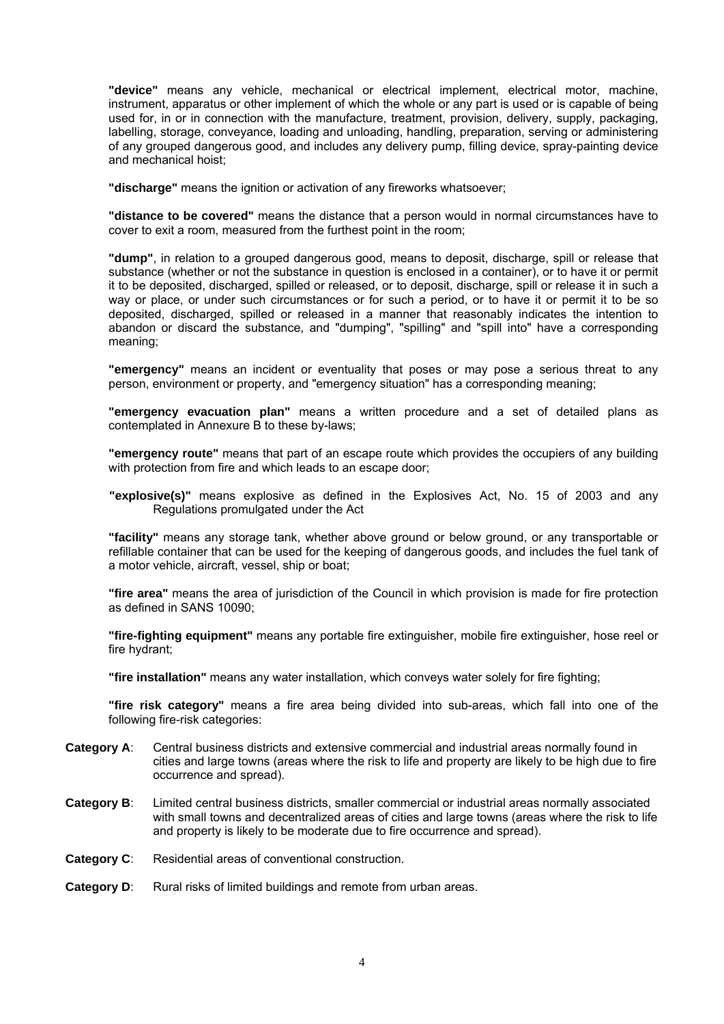**"device"** means any vehicle, mechanical or electrical implement, electrical motor, machine, instrument, apparatus or other implement of which the whole or any part is used or is capable of being used for, in or in connection with the manufacture, treatment, provision, delivery, supply, packaging, labelling, storage, conveyance, loading and unloading, handling, preparation, serving or administering of any grouped dangerous good, and includes any delivery pump, filling device, spray-painting device and mechanical hoist;

**"discharge"** means the ignition or activation of any fireworks whatsoever;

**"distance to be covered"** means the distance that a person would in normal circumstances have to cover to exit a room, measured from the furthest point in the room;

**"dump"**, in relation to a grouped dangerous good, means to deposit, discharge, spill or release that substance (whether or not the substance in question is enclosed in a container), or to have it or permit it to be deposited, discharged, spilled or released, or to deposit, discharge, spill or release it in such a way or place, or under such circumstances or for such a period, or to have it or permit it to be so deposited, discharged, spilled or released in a manner that reasonably indicates the intention to abandon or discard the substance, and "dumping", "spilling" and "spill into" have a corresponding meaning;

**"emergency"** means an incident or eventuality that poses or may pose a serious threat to any person, environment or property, and "emergency situation" has a corresponding meaning;

**"emergency evacuation plan"** means a written procedure and a set of detailed plans as contemplated in Annexure B to these by-laws;

**"emergency route"** means that part of an escape route which provides the occupiers of any building with protection from fire and which leads to an escape door;

**"explosive(s)"** means explosive as defined in the Explosives Act, No. 15 of 2003 and any Regulations promulgated under the Act

**"facility"** means any storage tank, whether above ground or below ground, or any transportable or refillable container that can be used for the keeping of dangerous goods, and includes the fuel tank of a motor vehicle, aircraft, vessel, ship or boat;

**"fire area"** means the area of jurisdiction of the Council in which provision is made for fire protection as defined in SANS 10090;

**"fire-fighting equipment"** means any portable fire extinguisher, mobile fire extinguisher, hose reel or fire hydrant;

**"fire installation"** means any water installation, which conveys water solely for fire fighting;

**"fire risk category"** means a fire area being divided into sub-areas, which fall into one of the following fire-risk categories:

- **Category A**: Central business districts and extensive commercial and industrial areas normally found in cities and large towns (areas where the risk to life and property are likely to be high due to fire occurrence and spread).
- **Category B**: Limited central business districts, smaller commercial or industrial areas normally associated with small towns and decentralized areas of cities and large towns (areas where the risk to life and property is likely to be moderate due to fire occurrence and spread).
- **Category C**: Residential areas of conventional construction.
- **Category D:** Rural risks of limited buildings and remote from urban areas.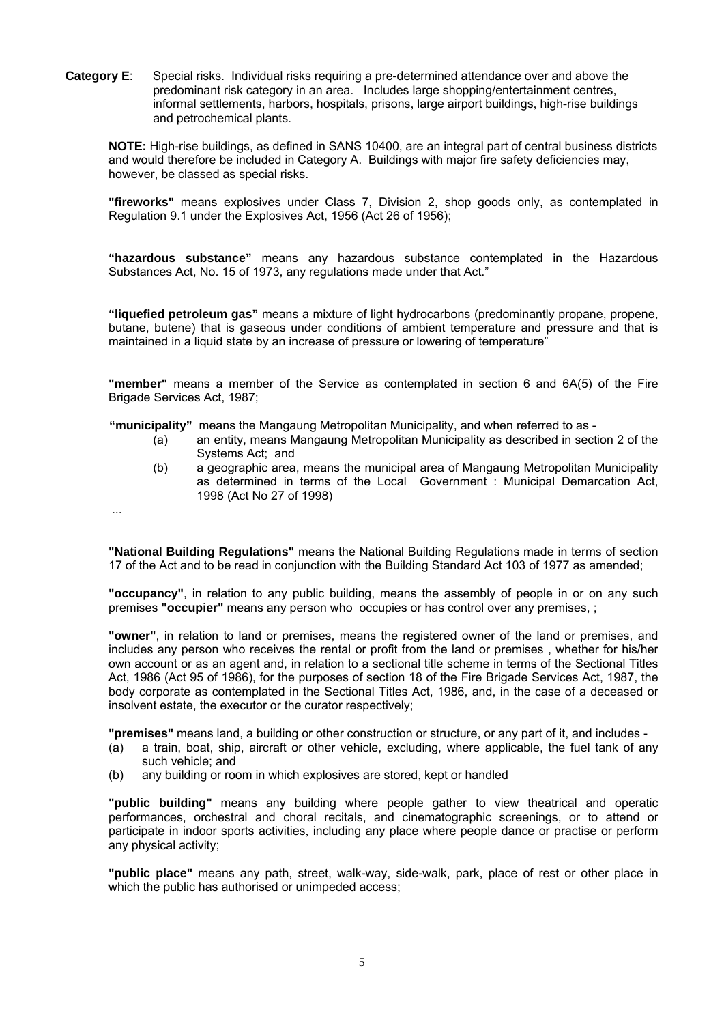**Category E**: Special risks. Individual risks requiring a pre-determined attendance over and above the predominant risk category in an area. Includes large shopping/entertainment centres, informal settlements, harbors, hospitals, prisons, large airport buildings, high-rise buildings and petrochemical plants.

**NOTE:** High-rise buildings, as defined in SANS 10400, are an integral part of central business districts and would therefore be included in Category A. Buildings with major fire safety deficiencies may, however, be classed as special risks.

**"fireworks"** means explosives under Class 7, Division 2, shop goods only, as contemplated in Regulation 9.1 under the Explosives Act, 1956 (Act 26 of 1956);

**"hazardous substance"** means any hazardous substance contemplated in the Hazardous Substances Act, No. 15 of 1973, any regulations made under that Act."

**"liquefied petroleum gas"** means a mixture of light hydrocarbons (predominantly propane, propene, butane, butene) that is gaseous under conditions of ambient temperature and pressure and that is maintained in a liquid state by an increase of pressure or lowering of temperature"

**"member"** means a member of the Service as contemplated in section 6 and 6A(5) of the Fire Brigade Services Act, 1987;

**"municipality"** means the Mangaung Metropolitan Municipality, and when referred to as -

- (a) an entity, means Mangaung Metropolitan Municipality as described in section 2 of the Systems Act; and
- (b) a geographic area, means the municipal area of Mangaung Metropolitan Municipality as determined in terms of the Local Government : Municipal Demarcation Act, 1998 (Act No 27 of 1998)
- ...

**"National Building Regulations"** means the National Building Regulations made in terms of section 17 of the Act and to be read in conjunction with the Building Standard Act 103 of 1977 as amended;

**"occupancy"**, in relation to any public building, means the assembly of people in or on any such premises **"occupier"** means any person who occupies or has control over any premises, ;

**"owner"**, in relation to land or premises, means the registered owner of the land or premises, and includes any person who receives the rental or profit from the land or premises , whether for his/her own account or as an agent and, in relation to a sectional title scheme in terms of the Sectional Titles Act, 1986 (Act 95 of 1986), for the purposes of section 18 of the Fire Brigade Services Act, 1987, the body corporate as contemplated in the Sectional Titles Act, 1986, and, in the case of a deceased or insolvent estate, the executor or the curator respectively;

**"premises"** means land, a building or other construction or structure, or any part of it, and includes -

- (a) a train, boat, ship, aircraft or other vehicle, excluding, where applicable, the fuel tank of any such vehicle; and
- (b) any building or room in which explosives are stored, kept or handled

**"public building"** means any building where people gather to view theatrical and operatic performances, orchestral and choral recitals, and cinematographic screenings, or to attend or participate in indoor sports activities, including any place where people dance or practise or perform any physical activity;

**"public place"** means any path, street, walk-way, side-walk, park, place of rest or other place in which the public has authorised or unimpeded access;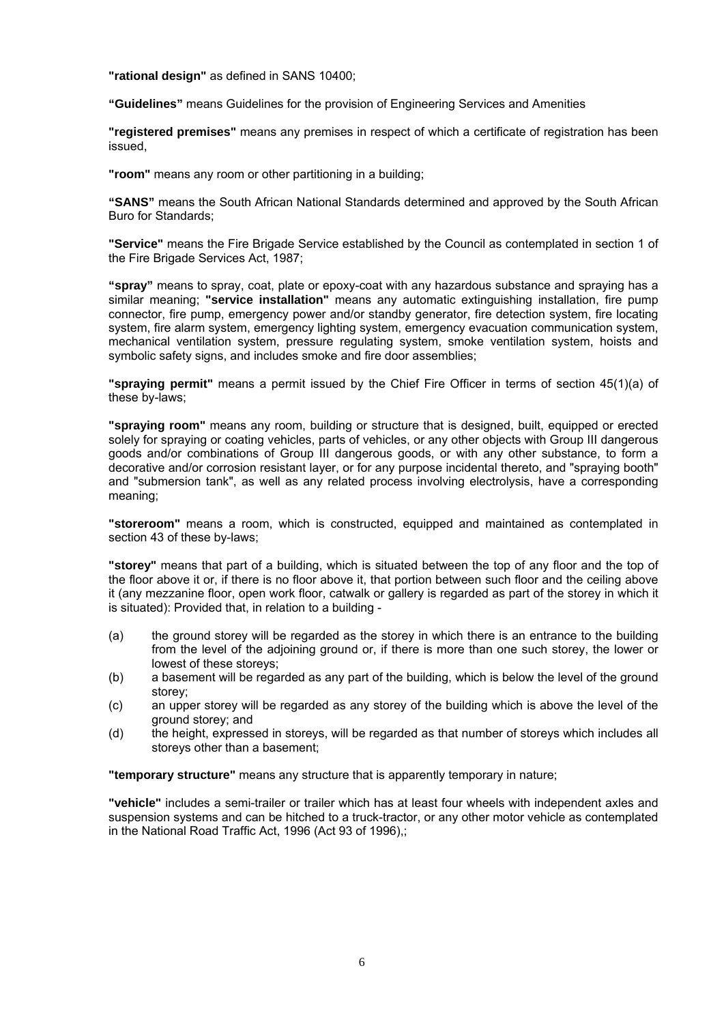**"rational design"** as defined in SANS 10400;

**"Guidelines"** means Guidelines for the provision of Engineering Services and Amenities

**"registered premises"** means any premises in respect of which a certificate of registration has been issued,

**"room"** means any room or other partitioning in a building;

**"SANS"** means the South African National Standards determined and approved by the South African Buro for Standards;

**"Service"** means the Fire Brigade Service established by the Council as contemplated in section 1 of the Fire Brigade Services Act, 1987;

**"spray"** means to spray, coat, plate or epoxy-coat with any hazardous substance and spraying has a similar meaning; **"service installation"** means any automatic extinguishing installation, fire pump connector, fire pump, emergency power and/or standby generator, fire detection system, fire locating system, fire alarm system, emergency lighting system, emergency evacuation communication system, mechanical ventilation system, pressure regulating system, smoke ventilation system, hoists and symbolic safety signs, and includes smoke and fire door assemblies;

**"spraying permit"** means a permit issued by the Chief Fire Officer in terms of section 45(1)(a) of these by-laws;

**"spraying room"** means any room, building or structure that is designed, built, equipped or erected solely for spraying or coating vehicles, parts of vehicles, or any other objects with Group III dangerous goods and/or combinations of Group III dangerous goods, or with any other substance, to form a decorative and/or corrosion resistant layer, or for any purpose incidental thereto, and "spraying booth" and "submersion tank", as well as any related process involving electrolysis, have a corresponding meaning;

**"storeroom"** means a room, which is constructed, equipped and maintained as contemplated in section 43 of these by-laws;

**"storey"** means that part of a building, which is situated between the top of any floor and the top of the floor above it or, if there is no floor above it, that portion between such floor and the ceiling above it (any mezzanine floor, open work floor, catwalk or gallery is regarded as part of the storey in which it is situated): Provided that, in relation to a building -

- (a) the ground storey will be regarded as the storey in which there is an entrance to the building from the level of the adjoining ground or, if there is more than one such storey, the lower or lowest of these storeys;
- (b) a basement will be regarded as any part of the building, which is below the level of the ground storey;
- (c) an upper storey will be regarded as any storey of the building which is above the level of the ground storey; and
- (d) the height, expressed in storeys, will be regarded as that number of storeys which includes all storeys other than a basement;

**"temporary structure"** means any structure that is apparently temporary in nature;

**"vehicle"** includes a semi-trailer or trailer which has at least four wheels with independent axles and suspension systems and can be hitched to a truck-tractor, or any other motor vehicle as contemplated in the National Road Traffic Act, 1996 (Act 93 of 1996),;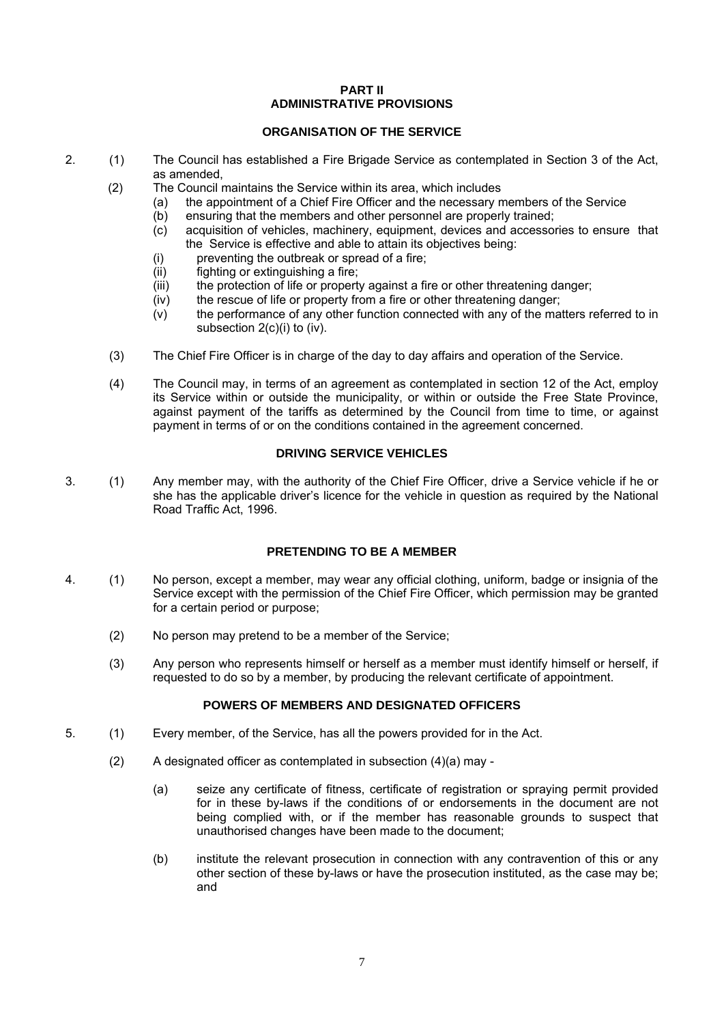## **PART II ADMINISTRATIVE PROVISIONS**

## **ORGANISATION OF THE SERVICE**

- 2. (1) The Council has established a Fire Brigade Service as contemplated in Section 3 of the Act, as amended,
	- (2) The Council maintains the Service within its area, which includes
		- (a) the appointment of a Chief Fire Officer and the necessary members of the Service
		- (b) ensuring that the members and other personnel are properly trained;
		- (c) acquisition of vehicles, machinery, equipment, devices and accessories to ensure that the Service is effective and able to attain its objectives being:
		- (i) preventing the outbreak or spread of a fire;
		- (ii) fighting or extinguishing a fire;
		- (iii) the protection of life or property against a fire or other threatening danger;
		- (iv) the rescue of life or property from a fire or other threatening danger;
		- (v) the performance of any other function connected with any of the matters referred to in subsection 2(c)(i) to (iv).
	- (3) The Chief Fire Officer is in charge of the day to day affairs and operation of the Service.
	- (4) The Council may, in terms of an agreement as contemplated in section 12 of the Act, employ its Service within or outside the municipality, or within or outside the Free State Province, against payment of the tariffs as determined by the Council from time to time, or against payment in terms of or on the conditions contained in the agreement concerned.

## **DRIVING SERVICE VEHICLES**

3. (1) Any member may, with the authority of the Chief Fire Officer, drive a Service vehicle if he or she has the applicable driver's licence for the vehicle in question as required by the National Road Traffic Act, 1996.

## **PRETENDING TO BE A MEMBER**

- 4. (1) No person, except a member, may wear any official clothing, uniform, badge or insignia of the Service except with the permission of the Chief Fire Officer, which permission may be granted for a certain period or purpose;
	- (2) No person may pretend to be a member of the Service;
	- (3) Any person who represents himself or herself as a member must identify himself or herself, if requested to do so by a member, by producing the relevant certificate of appointment.

## **POWERS OF MEMBERS AND DESIGNATED OFFICERS**

- 5. (1) Every member, of the Service, has all the powers provided for in the Act.
	- (2) A designated officer as contemplated in subsection (4)(a) may
		- (a) seize any certificate of fitness, certificate of registration or spraying permit provided for in these by-laws if the conditions of or endorsements in the document are not being complied with, or if the member has reasonable grounds to suspect that unauthorised changes have been made to the document;
		- (b) institute the relevant prosecution in connection with any contravention of this or any other section of these by-laws or have the prosecution instituted, as the case may be; and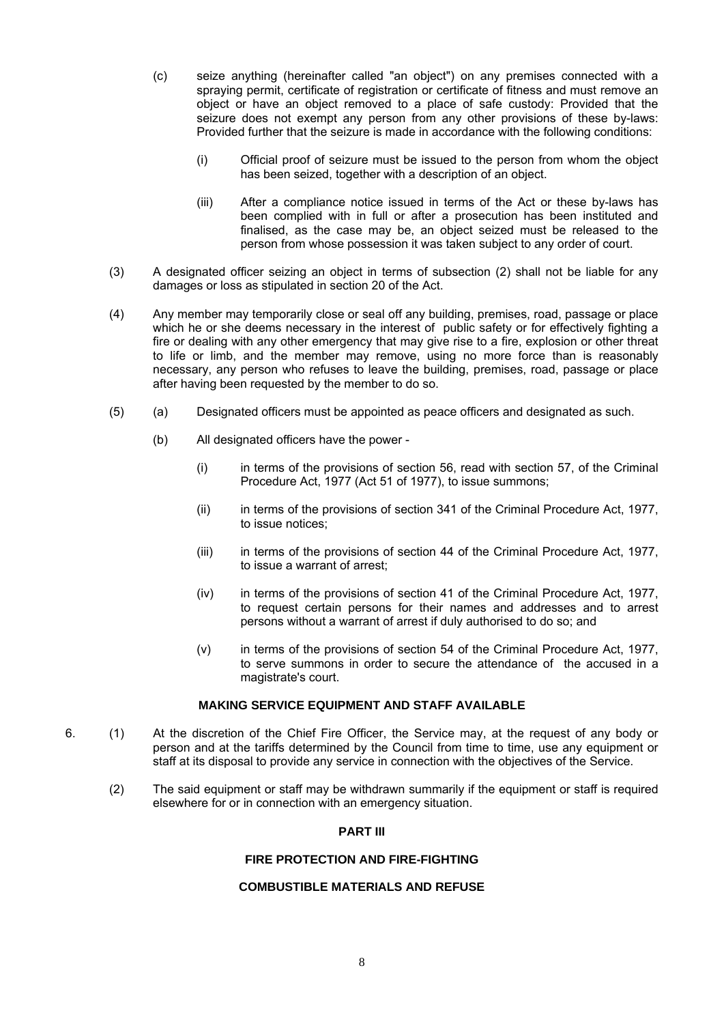(c) seize anything (hereinafter called "an object") on any premises connected with a spraying permit, certificate of registration or certificate of fitness and must remove an object or have an object removed to a place of safe custody: Provided that the seizure does not exempt any person from any other provisions of these by-laws: Provided further that the seizure is made in accordance with the following conditions:

- (i) Official proof of seizure must be issued to the person from whom the object has been seized, together with a description of an object.
- (iii) After a compliance notice issued in terms of the Act or these by-laws has been complied with in full or after a prosecution has been instituted and finalised, as the case may be, an object seized must be released to the person from whose possession it was taken subject to any order of court.
- (3) A designated officer seizing an object in terms of subsection (2) shall not be liable for any damages or loss as stipulated in section 20 of the Act.
- (4) Any member may temporarily close or seal off any building, premises, road, passage or place which he or she deems necessary in the interest of public safety or for effectively fighting a fire or dealing with any other emergency that may give rise to a fire, explosion or other threat to life or limb, and the member may remove, using no more force than is reasonably necessary, any person who refuses to leave the building, premises, road, passage or place after having been requested by the member to do so.
- (5) (a) Designated officers must be appointed as peace officers and designated as such.
	- (b) All designated officers have the power
		- (i) in terms of the provisions of section 56, read with section 57, of the Criminal Procedure Act, 1977 (Act 51 of 1977), to issue summons;
		- (ii) in terms of the provisions of section 341 of the Criminal Procedure Act, 1977, to issue notices;
		- (iii) in terms of the provisions of section 44 of the Criminal Procedure Act, 1977, to issue a warrant of arrest;
		- (iv) in terms of the provisions of section 41 of the Criminal Procedure Act, 1977, to request certain persons for their names and addresses and to arrest persons without a warrant of arrest if duly authorised to do so; and
		- (v) in terms of the provisions of section 54 of the Criminal Procedure Act, 1977, to serve summons in order to secure the attendance of the accused in a magistrate's court.

#### **MAKING SERVICE EQUIPMENT AND STAFF AVAILABLE**

- 6. (1) At the discretion of the Chief Fire Officer, the Service may, at the request of any body or person and at the tariffs determined by the Council from time to time, use any equipment or staff at its disposal to provide any service in connection with the objectives of the Service.
	- (2) The said equipment or staff may be withdrawn summarily if the equipment or staff is required elsewhere for or in connection with an emergency situation.

## **PART III**

#### **FIRE PROTECTION AND FIRE-FIGHTING**

## **COMBUSTIBLE MATERIALS AND REFUSE**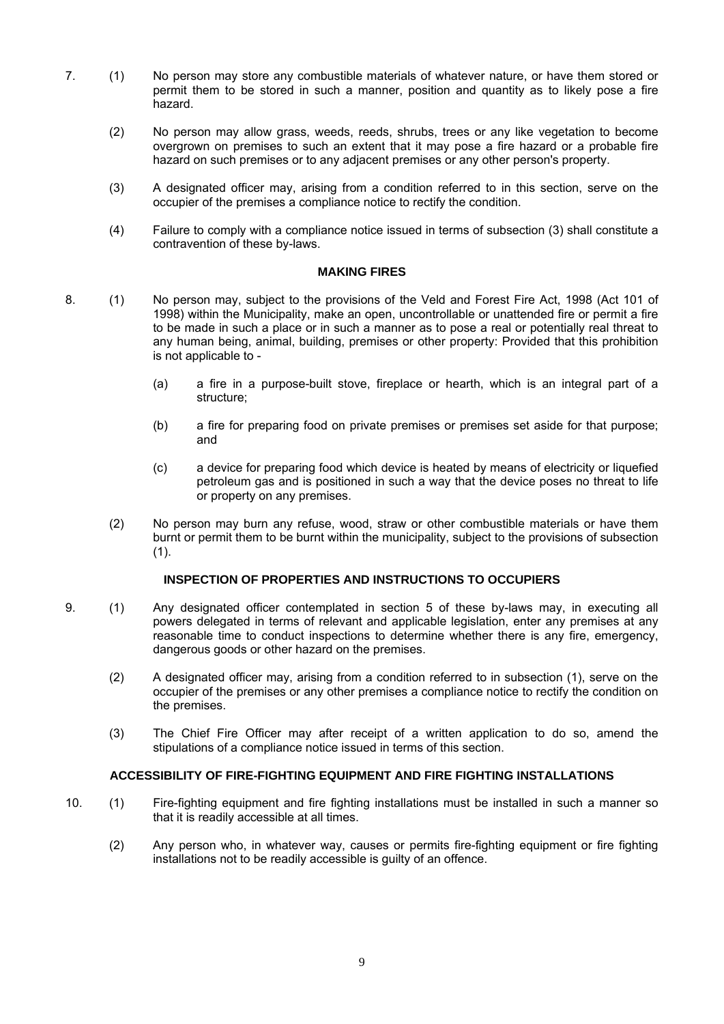- 7. (1) No person may store any combustible materials of whatever nature, or have them stored or permit them to be stored in such a manner, position and quantity as to likely pose a fire hazard.
	- (2) No person may allow grass, weeds, reeds, shrubs, trees or any like vegetation to become overgrown on premises to such an extent that it may pose a fire hazard or a probable fire hazard on such premises or to any adjacent premises or any other person's property.
	- (3) A designated officer may, arising from a condition referred to in this section, serve on the occupier of the premises a compliance notice to rectify the condition.
	- (4) Failure to comply with a compliance notice issued in terms of subsection (3) shall constitute a contravention of these by-laws.

#### **MAKING FIRES**

- 8. (1) No person may, subject to the provisions of the Veld and Forest Fire Act, 1998 (Act 101 of 1998) within the Municipality, make an open, uncontrollable or unattended fire or permit a fire to be made in such a place or in such a manner as to pose a real or potentially real threat to any human being, animal, building, premises or other property: Provided that this prohibition is not applicable to -
	- (a) a fire in a purpose-built stove, fireplace or hearth, which is an integral part of a structure;
	- (b) a fire for preparing food on private premises or premises set aside for that purpose; and
	- (c) a device for preparing food which device is heated by means of electricity or liquefied petroleum gas and is positioned in such a way that the device poses no threat to life or property on any premises.
	- (2) No person may burn any refuse, wood, straw or other combustible materials or have them burnt or permit them to be burnt within the municipality, subject to the provisions of subsection (1).

## **INSPECTION OF PROPERTIES AND INSTRUCTIONS TO OCCUPIERS**

- 9. (1) Any designated officer contemplated in section 5 of these by-laws may, in executing all powers delegated in terms of relevant and applicable legislation, enter any premises at any reasonable time to conduct inspections to determine whether there is any fire, emergency, dangerous goods or other hazard on the premises.
	- (2) A designated officer may, arising from a condition referred to in subsection (1), serve on the occupier of the premises or any other premises a compliance notice to rectify the condition on the premises.
	- (3) The Chief Fire Officer may after receipt of a written application to do so, amend the stipulations of a compliance notice issued in terms of this section.

## **ACCESSIBILITY OF FIRE-FIGHTING EQUIPMENT AND FIRE FIGHTING INSTALLATIONS**

- 10. (1) Fire-fighting equipment and fire fighting installations must be installed in such a manner so that it is readily accessible at all times.
	- (2) Any person who, in whatever way, causes or permits fire-fighting equipment or fire fighting installations not to be readily accessible is guilty of an offence.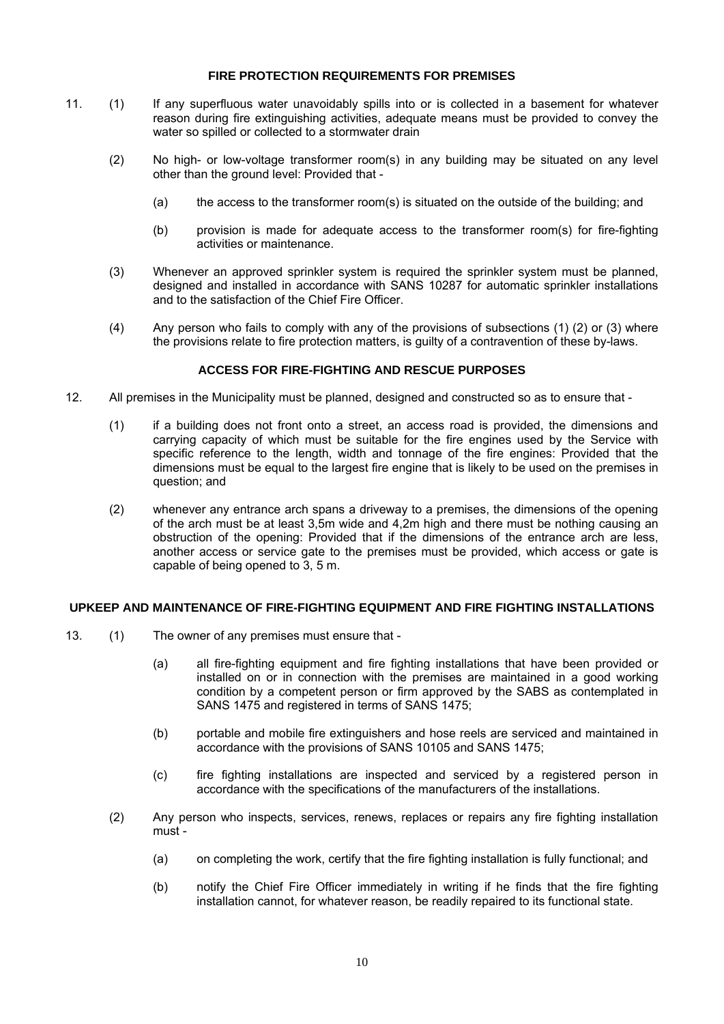## **FIRE PROTECTION REQUIREMENTS FOR PREMISES**

- 11. (1) If any superfluous water unavoidably spills into or is collected in a basement for whatever reason during fire extinguishing activities, adequate means must be provided to convey the water so spilled or collected to a stormwater drain
	- (2) No high- or low-voltage transformer room(s) in any building may be situated on any level other than the ground level: Provided that -
		- (a) the access to the transformer room(s) is situated on the outside of the building; and
		- (b) provision is made for adequate access to the transformer room(s) for fire-fighting activities or maintenance.
	- (3) Whenever an approved sprinkler system is required the sprinkler system must be planned, designed and installed in accordance with SANS 10287 for automatic sprinkler installations and to the satisfaction of the Chief Fire Officer.
	- (4) Any person who fails to comply with any of the provisions of subsections (1) (2) or (3) where the provisions relate to fire protection matters, is guilty of a contravention of these by-laws.

## **ACCESS FOR FIRE-FIGHTING AND RESCUE PURPOSES**

- 12. All premises in the Municipality must be planned, designed and constructed so as to ensure that
	- (1) if a building does not front onto a street, an access road is provided, the dimensions and carrying capacity of which must be suitable for the fire engines used by the Service with specific reference to the length, width and tonnage of the fire engines: Provided that the dimensions must be equal to the largest fire engine that is likely to be used on the premises in question; and
	- (2) whenever any entrance arch spans a driveway to a premises, the dimensions of the opening of the arch must be at least 3,5m wide and 4,2m high and there must be nothing causing an obstruction of the opening: Provided that if the dimensions of the entrance arch are less, another access or service gate to the premises must be provided, which access or gate is capable of being opened to 3, 5 m.

## **UPKEEP AND MAINTENANCE OF FIRE-FIGHTING EQUIPMENT AND FIRE FIGHTING INSTALLATIONS**

- 13. (1) The owner of any premises must ensure that
	- (a) all fire-fighting equipment and fire fighting installations that have been provided or installed on or in connection with the premises are maintained in a good working condition by a competent person or firm approved by the SABS as contemplated in SANS 1475 and registered in terms of SANS 1475;
	- (b) portable and mobile fire extinguishers and hose reels are serviced and maintained in accordance with the provisions of SANS 10105 and SANS 1475;
	- (c) fire fighting installations are inspected and serviced by a registered person in accordance with the specifications of the manufacturers of the installations.
	- (2) Any person who inspects, services, renews, replaces or repairs any fire fighting installation must -
		- (a) on completing the work, certify that the fire fighting installation is fully functional; and
		- (b) notify the Chief Fire Officer immediately in writing if he finds that the fire fighting installation cannot, for whatever reason, be readily repaired to its functional state.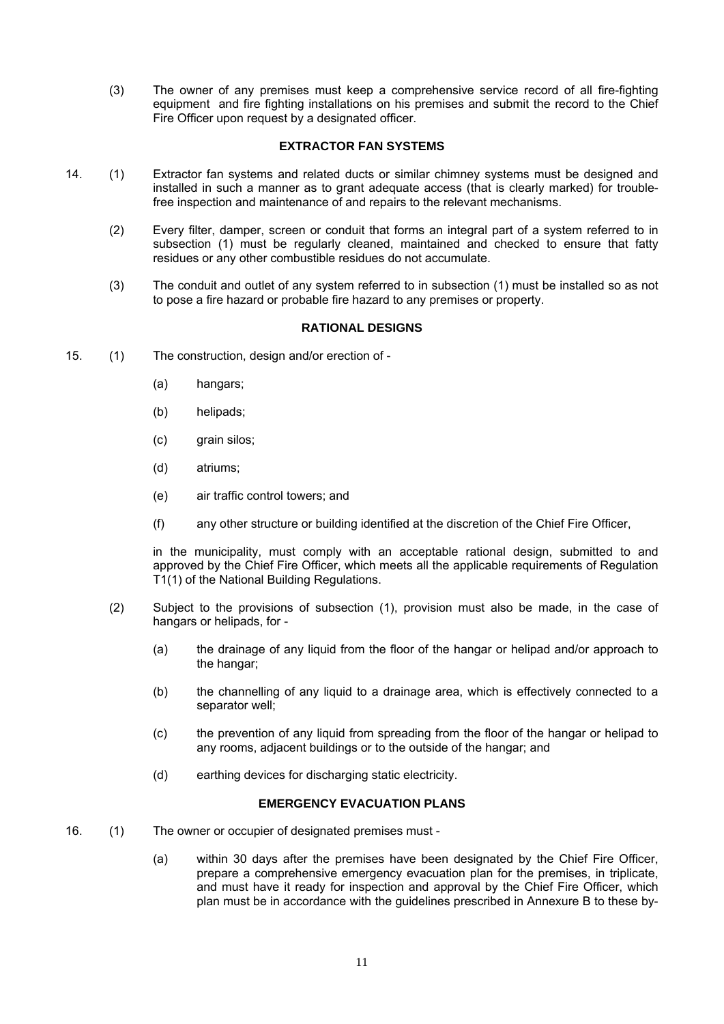(3) The owner of any premises must keep a comprehensive service record of all fire-fighting equipment and fire fighting installations on his premises and submit the record to the Chief Fire Officer upon request by a designated officer.

## **EXTRACTOR FAN SYSTEMS**

- 14. (1) Extractor fan systems and related ducts or similar chimney systems must be designed and installed in such a manner as to grant adequate access (that is clearly marked) for troublefree inspection and maintenance of and repairs to the relevant mechanisms.
	- (2) Every filter, damper, screen or conduit that forms an integral part of a system referred to in subsection (1) must be regularly cleaned, maintained and checked to ensure that fatty residues or any other combustible residues do not accumulate.
	- (3) The conduit and outlet of any system referred to in subsection (1) must be installed so as not to pose a fire hazard or probable fire hazard to any premises or property.

## **RATIONAL DESIGNS**

- 15. (1) The construction, design and/or erection of
	- (a) hangars;
	- (b) helipads;
	- (c) grain silos;
	- (d) atriums;
	- (e) air traffic control towers; and
	- (f) any other structure or building identified at the discretion of the Chief Fire Officer,

in the municipality, must comply with an acceptable rational design, submitted to and approved by the Chief Fire Officer, which meets all the applicable requirements of Regulation T1(1) of the National Building Regulations.

- (2) Subject to the provisions of subsection (1), provision must also be made, in the case of hangars or helipads, for -
	- (a) the drainage of any liquid from the floor of the hangar or helipad and/or approach to the hangar;
	- (b) the channelling of any liquid to a drainage area, which is effectively connected to a separator well;
	- (c) the prevention of any liquid from spreading from the floor of the hangar or helipad to any rooms, adjacent buildings or to the outside of the hangar; and
	- (d) earthing devices for discharging static electricity.

#### **EMERGENCY EVACUATION PLANS**

- 16. (1) The owner or occupier of designated premises must
	- (a) within 30 days after the premises have been designated by the Chief Fire Officer, prepare a comprehensive emergency evacuation plan for the premises, in triplicate, and must have it ready for inspection and approval by the Chief Fire Officer, which plan must be in accordance with the guidelines prescribed in Annexure B to these by-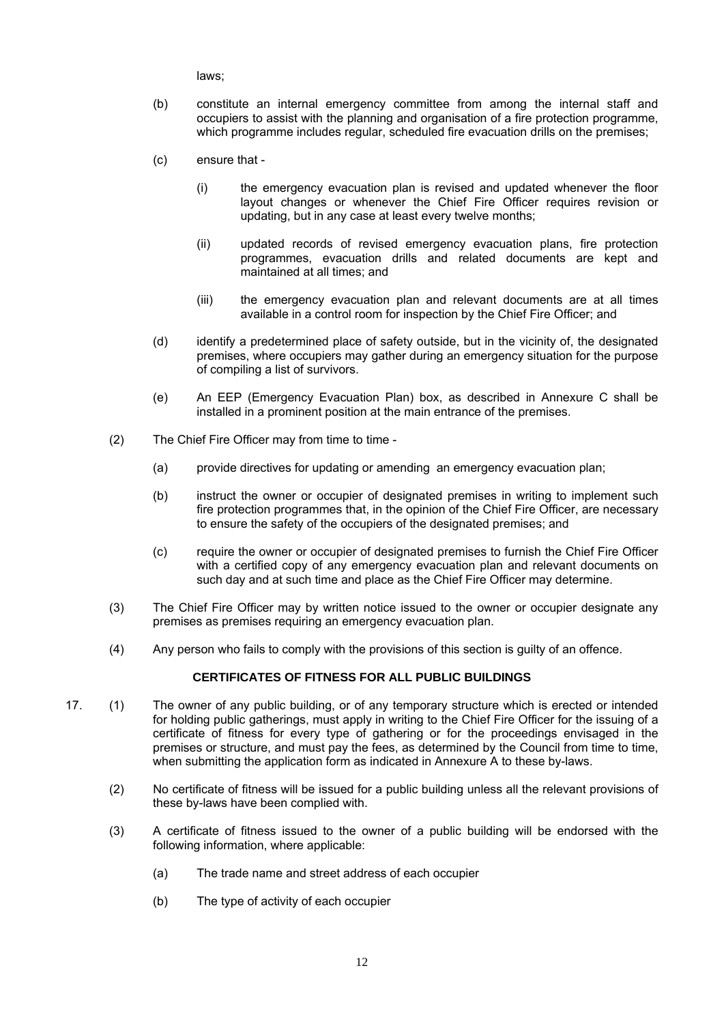laws;

- (b) constitute an internal emergency committee from among the internal staff and occupiers to assist with the planning and organisation of a fire protection programme, which programme includes regular, scheduled fire evacuation drills on the premises;
- (c) ensure that
	- (i) the emergency evacuation plan is revised and updated whenever the floor layout changes or whenever the Chief Fire Officer requires revision or updating, but in any case at least every twelve months;
	- (ii) updated records of revised emergency evacuation plans, fire protection programmes, evacuation drills and related documents are kept and maintained at all times; and
	- (iii) the emergency evacuation plan and relevant documents are at all times available in a control room for inspection by the Chief Fire Officer; and
- (d) identify a predetermined place of safety outside, but in the vicinity of, the designated premises, where occupiers may gather during an emergency situation for the purpose of compiling a list of survivors.
- (e) An EEP (Emergency Evacuation Plan) box, as described in Annexure C shall be installed in a prominent position at the main entrance of the premises.
- (2) The Chief Fire Officer may from time to time
	- (a) provide directives for updating or amending an emergency evacuation plan;
	- (b) instruct the owner or occupier of designated premises in writing to implement such fire protection programmes that, in the opinion of the Chief Fire Officer, are necessary to ensure the safety of the occupiers of the designated premises; and
	- (c) require the owner or occupier of designated premises to furnish the Chief Fire Officer with a certified copy of any emergency evacuation plan and relevant documents on such day and at such time and place as the Chief Fire Officer may determine.
- (3) The Chief Fire Officer may by written notice issued to the owner or occupier designate any premises as premises requiring an emergency evacuation plan.
- (4) Any person who fails to comply with the provisions of this section is guilty of an offence.

## **CERTIFICATES OF FITNESS FOR ALL PUBLIC BUILDINGS**

- 17. (1) The owner of any public building, or of any temporary structure which is erected or intended for holding public gatherings, must apply in writing to the Chief Fire Officer for the issuing of a certificate of fitness for every type of gathering or for the proceedings envisaged in the premises or structure, and must pay the fees, as determined by the Council from time to time, when submitting the application form as indicated in Annexure A to these by-laws.
	- (2) No certificate of fitness will be issued for a public building unless all the relevant provisions of these by-laws have been complied with.
	- (3) A certificate of fitness issued to the owner of a public building will be endorsed with the following information, where applicable:
		- (a) The trade name and street address of each occupier
		- (b) The type of activity of each occupier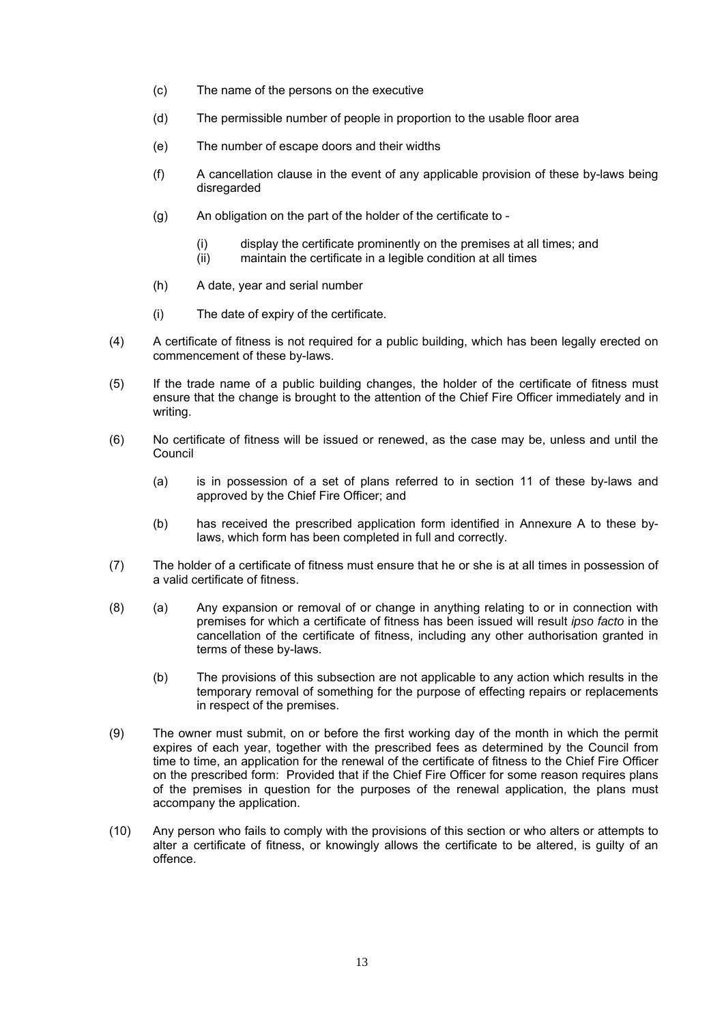- (c) The name of the persons on the executive
- (d) The permissible number of people in proportion to the usable floor area
- (e) The number of escape doors and their widths
- (f) A cancellation clause in the event of any applicable provision of these by-laws being disregarded
- (g) An obligation on the part of the holder of the certificate to
	- (i) display the certificate prominently on the premises at all times; and
	- (ii) maintain the certificate in a legible condition at all times
- (h) A date, year and serial number
- (i) The date of expiry of the certificate.
- (4) A certificate of fitness is not required for a public building, which has been legally erected on commencement of these by-laws.
- (5) If the trade name of a public building changes, the holder of the certificate of fitness must ensure that the change is brought to the attention of the Chief Fire Officer immediately and in writing.
- (6) No certificate of fitness will be issued or renewed, as the case may be, unless and until the Council
	- (a) is in possession of a set of plans referred to in section 11 of these by-laws and approved by the Chief Fire Officer; and
	- (b) has received the prescribed application form identified in Annexure A to these bylaws, which form has been completed in full and correctly.
- (7) The holder of a certificate of fitness must ensure that he or she is at all times in possession of a valid certificate of fitness.
- (8) (a) Any expansion or removal of or change in anything relating to or in connection with premises for which a certificate of fitness has been issued will result *ipso facto* in the cancellation of the certificate of fitness, including any other authorisation granted in terms of these by-laws.
	- (b) The provisions of this subsection are not applicable to any action which results in the temporary removal of something for the purpose of effecting repairs or replacements in respect of the premises.
- (9) The owner must submit, on or before the first working day of the month in which the permit expires of each year, together with the prescribed fees as determined by the Council from time to time, an application for the renewal of the certificate of fitness to the Chief Fire Officer on the prescribed form: Provided that if the Chief Fire Officer for some reason requires plans of the premises in question for the purposes of the renewal application, the plans must accompany the application.
- (10) Any person who fails to comply with the provisions of this section or who alters or attempts to alter a certificate of fitness, or knowingly allows the certificate to be altered, is guilty of an offence.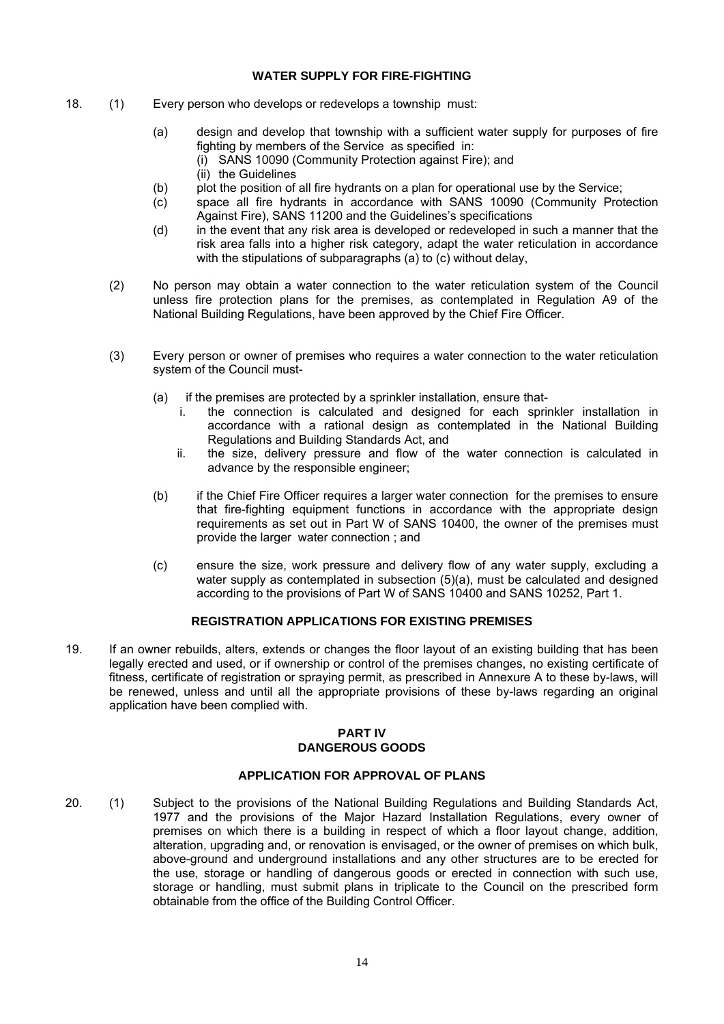## **WATER SUPPLY FOR FIRE-FIGHTING**

- 18. (1) Every person who develops or redevelops a township must:
	- (a) design and develop that township with a sufficient water supply for purposes of fire fighting by members of the Service as specified in: (i) SANS 10090 (Community Protection against Fire); and
		- (ii) the Guidelines
	- (b) plot the position of all fire hydrants on a plan for operational use by the Service;
	- (c) space all fire hydrants in accordance with SANS 10090 (Community Protection Against Fire), SANS 11200 and the Guidelines's specifications
	- (d) in the event that any risk area is developed or redeveloped in such a manner that the risk area falls into a higher risk category, adapt the water reticulation in accordance with the stipulations of subparagraphs (a) to (c) without delay,
	- (2) No person may obtain a water connection to the water reticulation system of the Council unless fire protection plans for the premises, as contemplated in Regulation A9 of the National Building Regulations, have been approved by the Chief Fire Officer.
	- (3) Every person or owner of premises who requires a water connection to the water reticulation system of the Council must-
		- (a) if the premises are protected by a sprinkler installation, ensure that
			- i. the connection is calculated and designed for each sprinkler installation in accordance with a rational design as contemplated in the National Building Regulations and Building Standards Act, and
			- ii. the size, delivery pressure and flow of the water connection is calculated in advance by the responsible engineer;
		- (b) if the Chief Fire Officer requires a larger water connection for the premises to ensure that fire-fighting equipment functions in accordance with the appropriate design requirements as set out in Part W of SANS 10400, the owner of the premises must provide the larger water connection ; and
		- (c) ensure the size, work pressure and delivery flow of any water supply, excluding a water supply as contemplated in subsection (5)(a), must be calculated and designed according to the provisions of Part W of SANS 10400 and SANS 10252, Part 1.

## **REGISTRATION APPLICATIONS FOR EXISTING PREMISES**

19. If an owner rebuilds, alters, extends or changes the floor layout of an existing building that has been legally erected and used, or if ownership or control of the premises changes, no existing certificate of fitness, certificate of registration or spraying permit, as prescribed in Annexure A to these by-laws, will be renewed, unless and until all the appropriate provisions of these by-laws regarding an original application have been complied with.

#### **PART IV DANGEROUS GOODS**

## **APPLICATION FOR APPROVAL OF PLANS**

20. (1) Subject to the provisions of the National Building Regulations and Building Standards Act, 1977 and the provisions of the Major Hazard Installation Regulations, every owner of premises on which there is a building in respect of which a floor layout change, addition, alteration, upgrading and, or renovation is envisaged, or the owner of premises on which bulk, above-ground and underground installations and any other structures are to be erected for the use, storage or handling of dangerous goods or erected in connection with such use, storage or handling, must submit plans in triplicate to the Council on the prescribed form obtainable from the office of the Building Control Officer.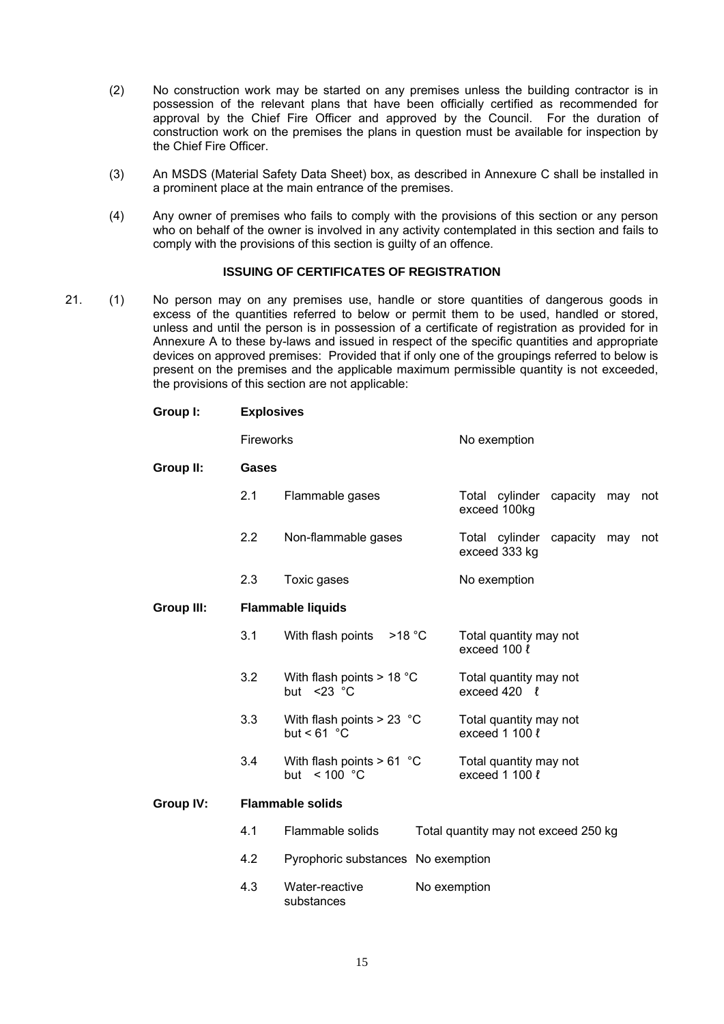- (2) No construction work may be started on any premises unless the building contractor is in possession of the relevant plans that have been officially certified as recommended for approval by the Chief Fire Officer and approved by the Council. For the duration of construction work on the premises the plans in question must be available for inspection by the Chief Fire Officer.
- (3) An MSDS (Material Safety Data Sheet) box, as described in Annexure C shall be installed in a prominent place at the main entrance of the premises.
- (4) Any owner of premises who fails to comply with the provisions of this section or any person who on behalf of the owner is involved in any activity contemplated in this section and fails to comply with the provisions of this section is guilty of an offence.

## **ISSUING OF CERTIFICATES OF REGISTRATION**

21. (1) No person may on any premises use, handle or store quantities of dangerous goods in excess of the quantities referred to below or permit them to be used, handled or stored, unless and until the person is in possession of a certificate of registration as provided for in Annexure A to these by-laws and issued in respect of the specific quantities and appropriate devices on approved premises: Provided that if only one of the groupings referred to below is present on the premises and the applicable maximum permissible quantity is not exceeded, the provisions of this section are not applicable:

**Group I: Explosives**

|                   | Fireworks |                                                        |              | No exemption                                  |              |  |     |
|-------------------|-----------|--------------------------------------------------------|--------------|-----------------------------------------------|--------------|--|-----|
| Group II:         | Gases     |                                                        |              |                                               |              |  |     |
|                   | 2.1       | Flammable gases                                        |              | Total cylinder<br>exceed 100kg                | capacity may |  | not |
|                   | 2.2       | Non-flammable gases                                    |              | Total cylinder<br>exceed 333 kg               | capacity may |  | not |
|                   | 2.3       | Toxic gases                                            |              | No exemption                                  |              |  |     |
| <b>Group III:</b> |           | <b>Flammable liquids</b>                               |              |                                               |              |  |     |
|                   | 3.1       | With flash points<br>$>18$ °C                          |              | Total quantity may not<br>exceed 100 l        |              |  |     |
|                   | 3.2       | With flash points $> 18 °C$<br>but $<$ 23 $^{\circ}$ C |              | Total quantity may not<br>exceed $420$ $\ell$ |              |  |     |
|                   | 3.3       | With flash points $> 23$ °C<br>but < $61 °C$           |              | Total quantity may not<br>exceed 1 100 l      |              |  |     |
|                   | 3.4       | With flash points $> 61$ °C<br>< 100 °C<br>but         |              | Total quantity may not<br>exceed $1100 \ell$  |              |  |     |
| <b>Group IV:</b>  |           | <b>Flammable solids</b>                                |              |                                               |              |  |     |
|                   | 4.1       | Flammable solids                                       |              | Total quantity may not exceed 250 kg          |              |  |     |
|                   | 4.2       | Pyrophoric substances No exemption                     |              |                                               |              |  |     |
|                   | 4.3       | Water-reactive<br>substances                           | No exemption |                                               |              |  |     |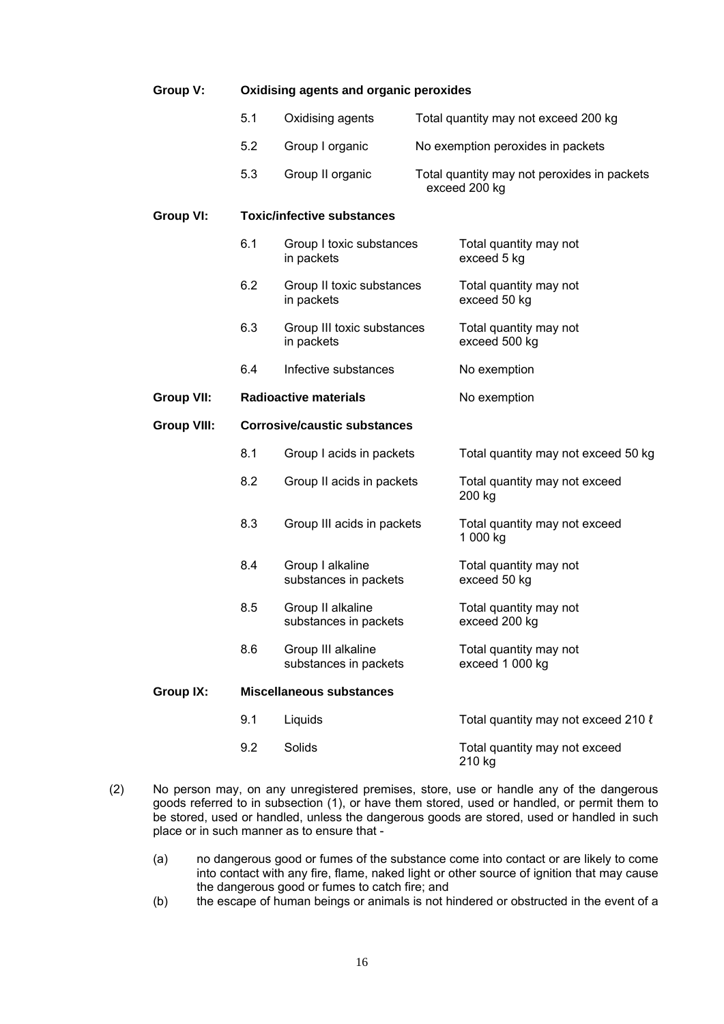| Group V:           | Oxidising agents and organic peroxides |                                             |              |                                                              |  |
|--------------------|----------------------------------------|---------------------------------------------|--------------|--------------------------------------------------------------|--|
|                    | 5.1                                    | Oxidising agents                            |              | Total quantity may not exceed 200 kg                         |  |
|                    | 5.2                                    | Group I organic                             |              | No exemption peroxides in packets                            |  |
|                    | 5.3                                    | Group II organic                            |              | Total quantity may not peroxides in packets<br>exceed 200 kg |  |
| <b>Group VI:</b>   |                                        | <b>Toxic/infective substances</b>           |              |                                                              |  |
|                    | 6.1                                    | Group I toxic substances<br>in packets      |              | Total quantity may not<br>exceed 5 kg                        |  |
|                    | 6.2                                    | Group II toxic substances<br>in packets     |              | Total quantity may not<br>exceed 50 kg                       |  |
|                    | 6.3                                    | Group III toxic substances<br>in packets    |              | Total quantity may not<br>exceed 500 kg                      |  |
|                    | 6.4                                    | Infective substances                        | No exemption |                                                              |  |
| <b>Group VII:</b>  |                                        | <b>Radioactive materials</b>                |              | No exemption                                                 |  |
| <b>Group VIII:</b> | <b>Corrosive/caustic substances</b>    |                                             |              |                                                              |  |
|                    | 8.1                                    | Group I acids in packets                    |              | Total quantity may not exceed 50 kg                          |  |
|                    | 8.2                                    | Group II acids in packets                   |              | Total quantity may not exceed<br>200 kg                      |  |
|                    | 8.3                                    | Group III acids in packets                  |              | Total quantity may not exceed<br>1 000 kg                    |  |
|                    | 8.4                                    | Group I alkaline<br>substances in packets   |              | Total quantity may not<br>exceed 50 kg                       |  |
|                    | 8.5                                    | Group II alkaline<br>substances in packets  |              | Total quantity may not<br>exceed 200 kg                      |  |
|                    | 8.6                                    | Group III alkaline<br>substances in packets |              | Total quantity may not<br>exceed 1 000 kg                    |  |
| <b>Group IX:</b>   |                                        | <b>Miscellaneous substances</b>             |              |                                                              |  |
|                    | 9.1                                    | Liquids                                     |              | Total quantity may not exceed 210 l                          |  |
|                    | 9.2                                    | Solids                                      |              | Total quantity may not exceed<br>210 kg                      |  |

- (2) No person may, on any unregistered premises, store, use or handle any of the dangerous goods referred to in subsection (1), or have them stored, used or handled, or permit them to be stored, used or handled, unless the dangerous goods are stored, used or handled in such place or in such manner as to ensure that -
	- (a) no dangerous good or fumes of the substance come into contact or are likely to come into contact with any fire, flame, naked light or other source of ignition that may cause the dangerous good or fumes to catch fire; and
	- (b) the escape of human beings or animals is not hindered or obstructed in the event of a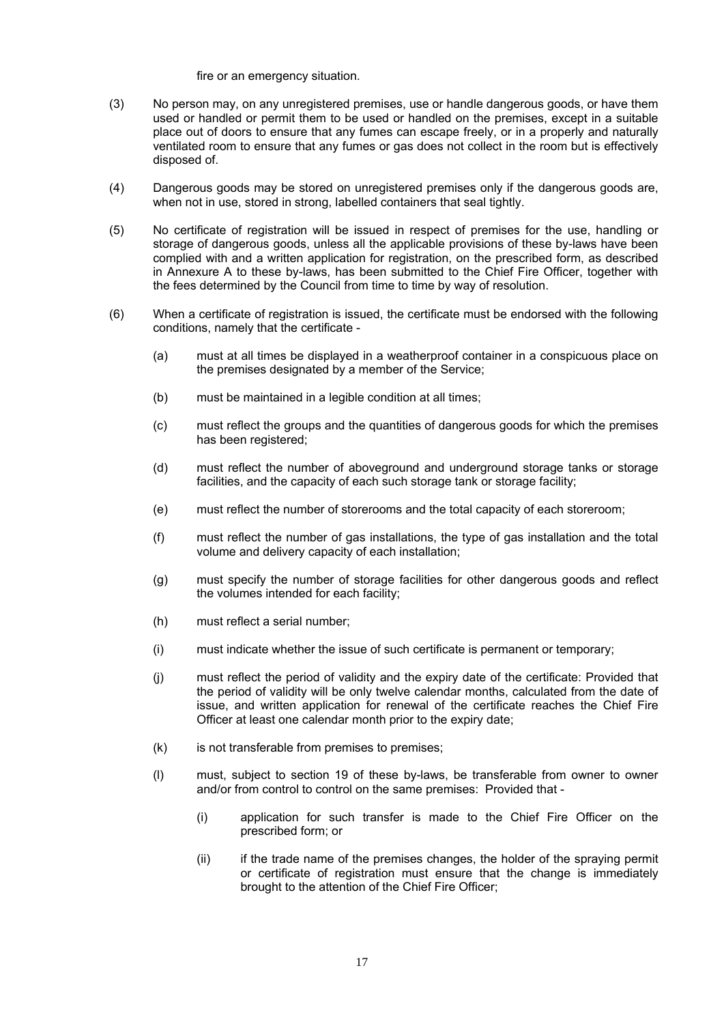fire or an emergency situation.

- (3) No person may, on any unregistered premises, use or handle dangerous goods, or have them used or handled or permit them to be used or handled on the premises, except in a suitable place out of doors to ensure that any fumes can escape freely, or in a properly and naturally ventilated room to ensure that any fumes or gas does not collect in the room but is effectively disposed of.
- (4) Dangerous goods may be stored on unregistered premises only if the dangerous goods are, when not in use, stored in strong, labelled containers that seal tightly.
- (5) No certificate of registration will be issued in respect of premises for the use, handling or storage of dangerous goods, unless all the applicable provisions of these by-laws have been complied with and a written application for registration, on the prescribed form, as described in Annexure A to these by-laws, has been submitted to the Chief Fire Officer, together with the fees determined by the Council from time to time by way of resolution.
- (6) When a certificate of registration is issued, the certificate must be endorsed with the following conditions, namely that the certificate -
	- (a) must at all times be displayed in a weatherproof container in a conspicuous place on the premises designated by a member of the Service;
	- (b) must be maintained in a legible condition at all times;
	- (c) must reflect the groups and the quantities of dangerous goods for which the premises has been registered;
	- (d) must reflect the number of aboveground and underground storage tanks or storage facilities, and the capacity of each such storage tank or storage facility;
	- (e) must reflect the number of storerooms and the total capacity of each storeroom;
	- (f) must reflect the number of gas installations, the type of gas installation and the total volume and delivery capacity of each installation;
	- (g) must specify the number of storage facilities for other dangerous goods and reflect the volumes intended for each facility;
	- (h) must reflect a serial number;
	- (i) must indicate whether the issue of such certificate is permanent or temporary;
	- (j) must reflect the period of validity and the expiry date of the certificate: Provided that the period of validity will be only twelve calendar months, calculated from the date of issue, and written application for renewal of the certificate reaches the Chief Fire Officer at least one calendar month prior to the expiry date;
	- (k) is not transferable from premises to premises;
	- (l) must, subject to section 19 of these by-laws, be transferable from owner to owner and/or from control to control on the same premises: Provided that -
		- (i) application for such transfer is made to the Chief Fire Officer on the prescribed form; or
		- (ii) if the trade name of the premises changes, the holder of the spraying permit or certificate of registration must ensure that the change is immediately brought to the attention of the Chief Fire Officer;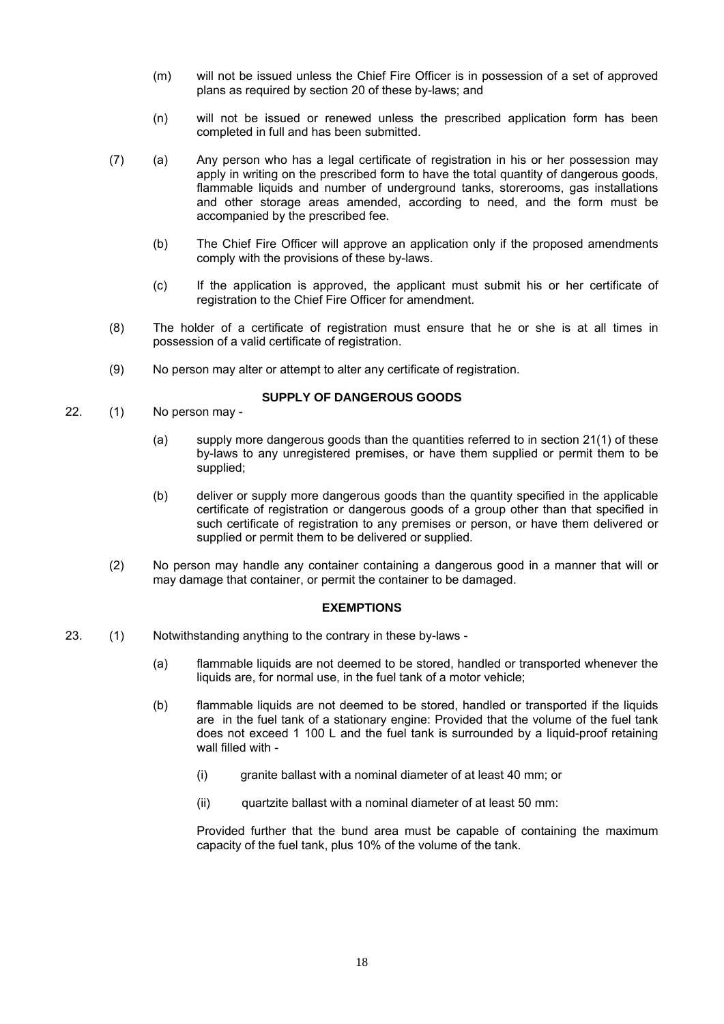- (m) will not be issued unless the Chief Fire Officer is in possession of a set of approved plans as required by section 20 of these by-laws; and
- (n) will not be issued or renewed unless the prescribed application form has been completed in full and has been submitted.
- (7) (a) Any person who has a legal certificate of registration in his or her possession may apply in writing on the prescribed form to have the total quantity of dangerous goods, flammable liquids and number of underground tanks, storerooms, gas installations and other storage areas amended, according to need, and the form must be accompanied by the prescribed fee.
	- (b) The Chief Fire Officer will approve an application only if the proposed amendments comply with the provisions of these by-laws.
	- (c) If the application is approved, the applicant must submit his or her certificate of registration to the Chief Fire Officer for amendment.
- (8) The holder of a certificate of registration must ensure that he or she is at all times in possession of a valid certificate of registration.
- (9) No person may alter or attempt to alter any certificate of registration.

## **SUPPLY OF DANGEROUS GOODS**

- 22. (1) No person may
	- (a) supply more dangerous goods than the quantities referred to in section 21(1) of these by-laws to any unregistered premises, or have them supplied or permit them to be supplied;
	- (b) deliver or supply more dangerous goods than the quantity specified in the applicable certificate of registration or dangerous goods of a group other than that specified in such certificate of registration to any premises or person, or have them delivered or supplied or permit them to be delivered or supplied.
	- (2) No person may handle any container containing a dangerous good in a manner that will or may damage that container, or permit the container to be damaged.

## **EXEMPTIONS**

- 23. (1) Notwithstanding anything to the contrary in these by-laws
	- (a) flammable liquids are not deemed to be stored, handled or transported whenever the liquids are, for normal use, in the fuel tank of a motor vehicle;
	- (b) flammable liquids are not deemed to be stored, handled or transported if the liquids are in the fuel tank of a stationary engine: Provided that the volume of the fuel tank does not exceed 1 100 L and the fuel tank is surrounded by a liquid-proof retaining wall filled with -
		- (i) granite ballast with a nominal diameter of at least 40 mm; or
		- (ii) quartzite ballast with a nominal diameter of at least 50 mm:

Provided further that the bund area must be capable of containing the maximum capacity of the fuel tank, plus 10% of the volume of the tank.

18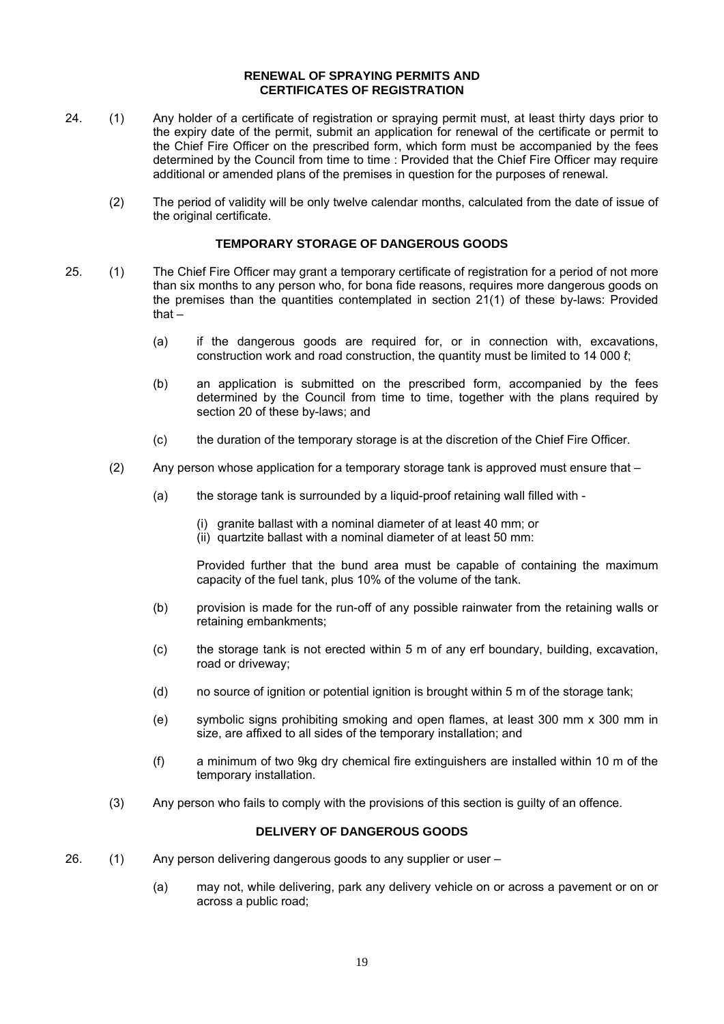#### **RENEWAL OF SPRAYING PERMITS AND CERTIFICATES OF REGISTRATION**

- 24. (1) Any holder of a certificate of registration or spraying permit must, at least thirty days prior to the expiry date of the permit, submit an application for renewal of the certificate or permit to the Chief Fire Officer on the prescribed form, which form must be accompanied by the fees determined by the Council from time to time : Provided that the Chief Fire Officer may require additional or amended plans of the premises in question for the purposes of renewal.
	- (2) The period of validity will be only twelve calendar months, calculated from the date of issue of the original certificate.

## **TEMPORARY STORAGE OF DANGEROUS GOODS**

- 25. (1) The Chief Fire Officer may grant a temporary certificate of registration for a period of not more than six months to any person who, for bona fide reasons, requires more dangerous goods on the premises than the quantities contemplated in section 21(1) of these by-laws: Provided that –
	- (a) if the dangerous goods are required for, or in connection with, excavations, construction work and road construction, the quantity must be limited to 14 000 ℓ;
	- (b) an application is submitted on the prescribed form, accompanied by the fees determined by the Council from time to time, together with the plans required by section 20 of these by-laws; and
	- (c) the duration of the temporary storage is at the discretion of the Chief Fire Officer.
	- (2) Any person whose application for a temporary storage tank is approved must ensure that
		- (a) the storage tank is surrounded by a liquid-proof retaining wall filled with
			- (i) granite ballast with a nominal diameter of at least 40 mm; or
			- (ii) quartzite ballast with a nominal diameter of at least 50 mm:

Provided further that the bund area must be capable of containing the maximum capacity of the fuel tank, plus 10% of the volume of the tank.

- (b) provision is made for the run-off of any possible rainwater from the retaining walls or retaining embankments;
- (c) the storage tank is not erected within 5 m of any erf boundary, building, excavation, road or driveway;
- (d) no source of ignition or potential ignition is brought within 5 m of the storage tank;
- (e) symbolic signs prohibiting smoking and open flames, at least 300 mm x 300 mm in size, are affixed to all sides of the temporary installation; and
- (f) a minimum of two 9kg dry chemical fire extinguishers are installed within 10 m of the temporary installation.
- (3) Any person who fails to comply with the provisions of this section is guilty of an offence.

## **DELIVERY OF DANGEROUS GOODS**

- 26. (1) Any person delivering dangerous goods to any supplier or user
	- (a) may not, while delivering, park any delivery vehicle on or across a pavement or on or across a public road;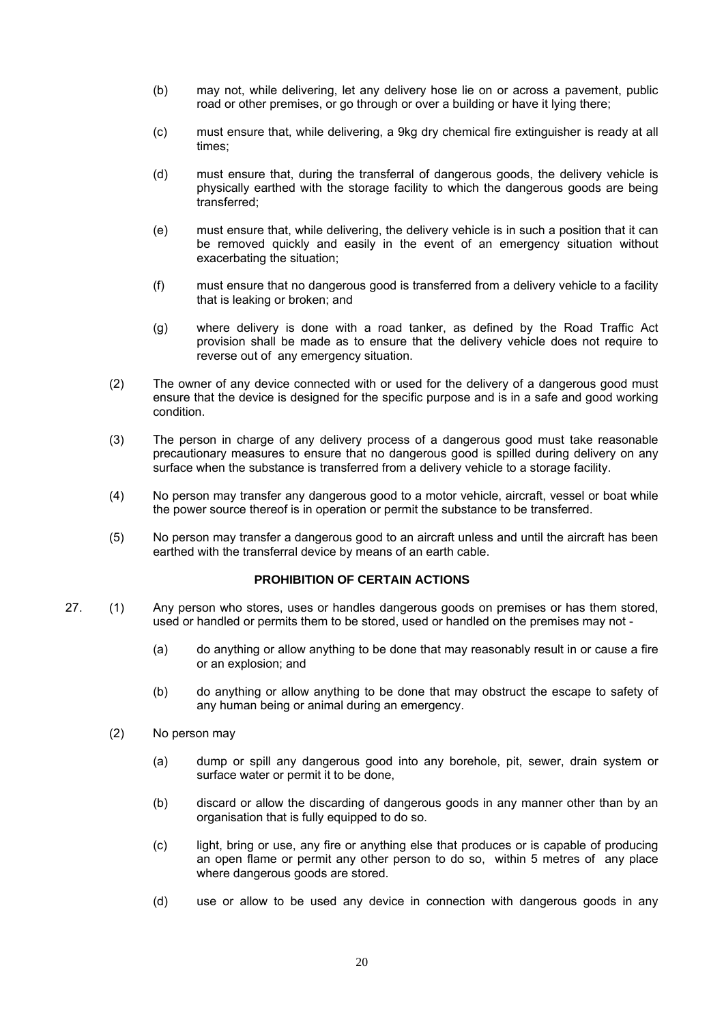- (b) may not, while delivering, let any delivery hose lie on or across a pavement, public road or other premises, or go through or over a building or have it lying there;
- (c) must ensure that, while delivering, a 9kg dry chemical fire extinguisher is ready at all times;
- (d) must ensure that, during the transferral of dangerous goods, the delivery vehicle is physically earthed with the storage facility to which the dangerous goods are being transferred;
- (e) must ensure that, while delivering, the delivery vehicle is in such a position that it can be removed quickly and easily in the event of an emergency situation without exacerbating the situation;
- (f) must ensure that no dangerous good is transferred from a delivery vehicle to a facility that is leaking or broken; and
- (g) where delivery is done with a road tanker, as defined by the Road Traffic Act provision shall be made as to ensure that the delivery vehicle does not require to reverse out of any emergency situation.
- (2) The owner of any device connected with or used for the delivery of a dangerous good must ensure that the device is designed for the specific purpose and is in a safe and good working condition.
- (3) The person in charge of any delivery process of a dangerous good must take reasonable precautionary measures to ensure that no dangerous good is spilled during delivery on any surface when the substance is transferred from a delivery vehicle to a storage facility.
- (4) No person may transfer any dangerous good to a motor vehicle, aircraft, vessel or boat while the power source thereof is in operation or permit the substance to be transferred.
- (5) No person may transfer a dangerous good to an aircraft unless and until the aircraft has been earthed with the transferral device by means of an earth cable.

## **PROHIBITION OF CERTAIN ACTIONS**

- 27. (1) Any person who stores, uses or handles dangerous goods on premises or has them stored, used or handled or permits them to be stored, used or handled on the premises may not -
	- (a) do anything or allow anything to be done that may reasonably result in or cause a fire or an explosion; and
	- (b) do anything or allow anything to be done that may obstruct the escape to safety of any human being or animal during an emergency.
	- (2) No person may
		- (a) dump or spill any dangerous good into any borehole, pit, sewer, drain system or surface water or permit it to be done,
		- (b) discard or allow the discarding of dangerous goods in any manner other than by an organisation that is fully equipped to do so.
		- (c) light, bring or use, any fire or anything else that produces or is capable of producing an open flame or permit any other person to do so, within 5 metres of any place where dangerous goods are stored.
		- (d) use or allow to be used any device in connection with dangerous goods in any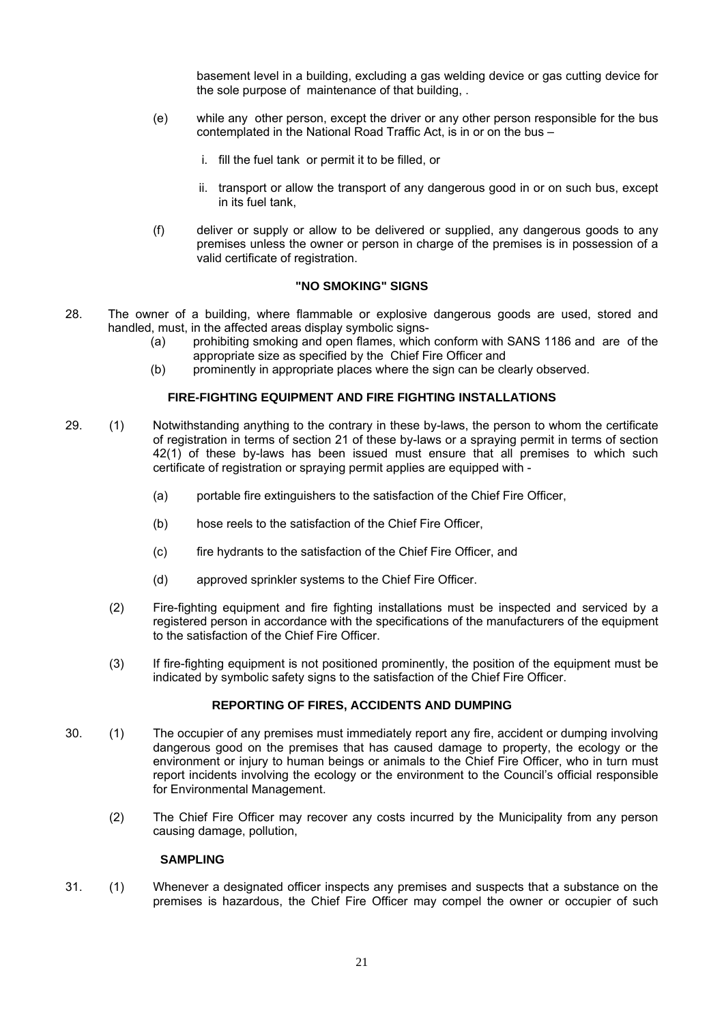basement level in a building, excluding a gas welding device or gas cutting device for the sole purpose of maintenance of that building, .

- (e) while any other person, except the driver or any other person responsible for the bus contemplated in the National Road Traffic Act, is in or on the bus –
	- i. fill the fuel tank or permit it to be filled, or
	- ii. transport or allow the transport of any dangerous good in or on such bus, except in its fuel tank,
- (f) deliver or supply or allow to be delivered or supplied, any dangerous goods to any premises unless the owner or person in charge of the premises is in possession of a valid certificate of registration.

#### **"NO SMOKING" SIGNS**

- 28. The owner of a building, where flammable or explosive dangerous goods are used, stored and handled, must, in the affected areas display symbolic signs-
	- (a) prohibiting smoking and open flames, which conform with SANS 1186 and are of the appropriate size as specified by the Chief Fire Officer and
	- (b) prominently in appropriate places where the sign can be clearly observed.

#### **FIRE-FIGHTING EQUIPMENT AND FIRE FIGHTING INSTALLATIONS**

- 29. (1) Notwithstanding anything to the contrary in these by-laws, the person to whom the certificate of registration in terms of section 21 of these by-laws or a spraying permit in terms of section 42(1) of these by-laws has been issued must ensure that all premises to which such certificate of registration or spraying permit applies are equipped with -
	- (a) portable fire extinguishers to the satisfaction of the Chief Fire Officer,
	- (b) hose reels to the satisfaction of the Chief Fire Officer,
	- (c) fire hydrants to the satisfaction of the Chief Fire Officer, and
	- (d) approved sprinkler systems to the Chief Fire Officer.
	- (2) Fire-fighting equipment and fire fighting installations must be inspected and serviced by a registered person in accordance with the specifications of the manufacturers of the equipment to the satisfaction of the Chief Fire Officer.
	- (3) If fire-fighting equipment is not positioned prominently, the position of the equipment must be indicated by symbolic safety signs to the satisfaction of the Chief Fire Officer.

## **REPORTING OF FIRES, ACCIDENTS AND DUMPING**

- 30. (1) The occupier of any premises must immediately report any fire, accident or dumping involving dangerous good on the premises that has caused damage to property, the ecology or the environment or injury to human beings or animals to the Chief Fire Officer, who in turn must report incidents involving the ecology or the environment to the Council's official responsible for Environmental Management.
	- (2) The Chief Fire Officer may recover any costs incurred by the Municipality from any person causing damage, pollution,

#### **SAMPLING**

31. (1) Whenever a designated officer inspects any premises and suspects that a substance on the premises is hazardous, the Chief Fire Officer may compel the owner or occupier of such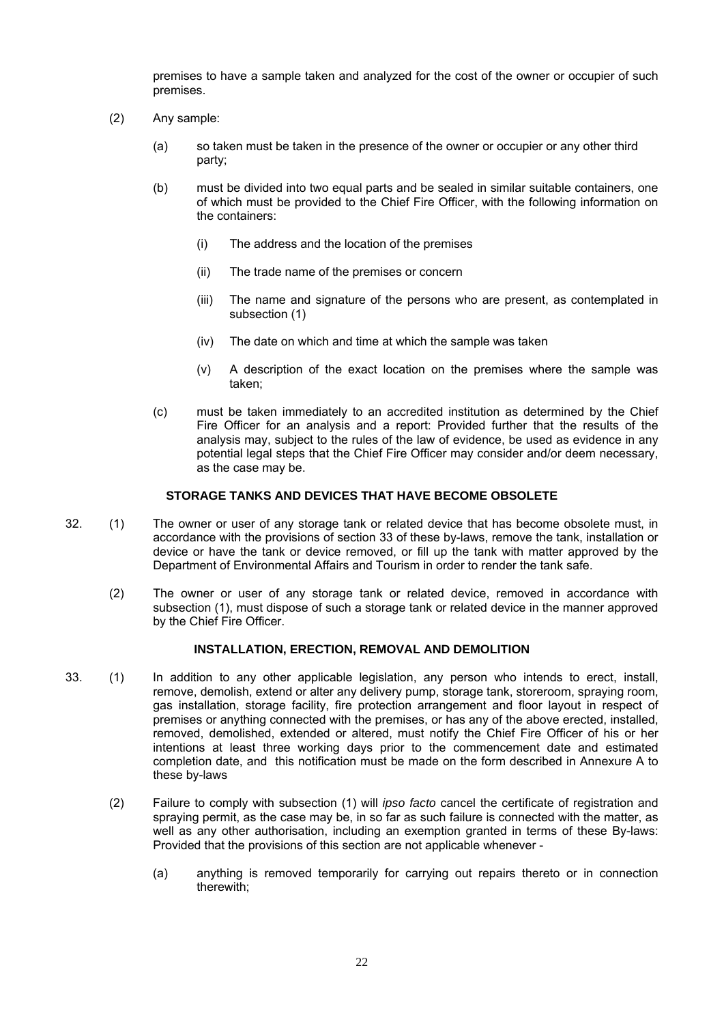premises to have a sample taken and analyzed for the cost of the owner or occupier of such premises.

- (2) Any sample:
	- (a) so taken must be taken in the presence of the owner or occupier or any other third party;
	- (b) must be divided into two equal parts and be sealed in similar suitable containers, one of which must be provided to the Chief Fire Officer, with the following information on the containers:
		- (i) The address and the location of the premises
		- (ii) The trade name of the premises or concern
		- (iii) The name and signature of the persons who are present, as contemplated in subsection (1)
		- (iv) The date on which and time at which the sample was taken
		- (v) A description of the exact location on the premises where the sample was taken;
	- (c) must be taken immediately to an accredited institution as determined by the Chief Fire Officer for an analysis and a report: Provided further that the results of the analysis may, subject to the rules of the law of evidence, be used as evidence in any potential legal steps that the Chief Fire Officer may consider and/or deem necessary, as the case may be.

#### **STORAGE TANKS AND DEVICES THAT HAVE BECOME OBSOLETE**

- 32. (1) The owner or user of any storage tank or related device that has become obsolete must, in accordance with the provisions of section 33 of these by-laws, remove the tank, installation or device or have the tank or device removed, or fill up the tank with matter approved by the Department of Environmental Affairs and Tourism in order to render the tank safe.
	- (2) The owner or user of any storage tank or related device, removed in accordance with subsection (1), must dispose of such a storage tank or related device in the manner approved by the Chief Fire Officer.

#### **INSTALLATION, ERECTION, REMOVAL AND DEMOLITION**

- 33. (1) In addition to any other applicable legislation, any person who intends to erect, install, remove, demolish, extend or alter any delivery pump, storage tank, storeroom, spraying room, gas installation, storage facility, fire protection arrangement and floor layout in respect of premises or anything connected with the premises, or has any of the above erected, installed, removed, demolished, extended or altered, must notify the Chief Fire Officer of his or her intentions at least three working days prior to the commencement date and estimated completion date, and this notification must be made on the form described in Annexure A to these by-laws
	- (2) Failure to comply with subsection (1) will *ipso facto* cancel the certificate of registration and spraying permit, as the case may be, in so far as such failure is connected with the matter, as well as any other authorisation, including an exemption granted in terms of these By-laws: Provided that the provisions of this section are not applicable whenever -
		- (a) anything is removed temporarily for carrying out repairs thereto or in connection therewith;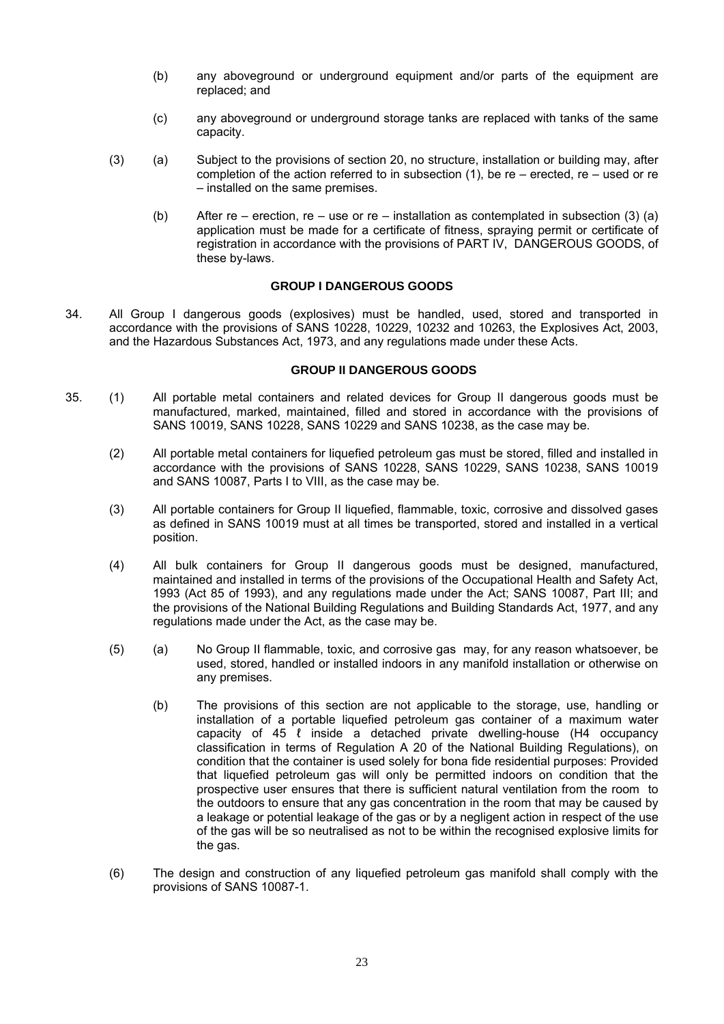- (b) any aboveground or underground equipment and/or parts of the equipment are replaced; and
- (c) any aboveground or underground storage tanks are replaced with tanks of the same capacity.
- (3) (a) Subject to the provisions of section 20, no structure, installation or building may, after completion of the action referred to in subsection (1), be re – erected, re – used or re – installed on the same premises.
	- (b) After re erection, re use or re installation as contemplated in subsection (3) (a) application must be made for a certificate of fitness, spraying permit or certificate of registration in accordance with the provisions of PART IV, DANGEROUS GOODS, of these by-laws.

## **GROUP I DANGEROUS GOODS**

34. All Group I dangerous goods (explosives) must be handled, used, stored and transported in accordance with the provisions of SANS 10228, 10229, 10232 and 10263, the Explosives Act, 2003, and the Hazardous Substances Act, 1973, and any regulations made under these Acts.

## **GROUP II DANGEROUS GOODS**

- 35. (1) All portable metal containers and related devices for Group II dangerous goods must be manufactured, marked, maintained, filled and stored in accordance with the provisions of SANS 10019, SANS 10228, SANS 10229 and SANS 10238, as the case may be.
	- (2) All portable metal containers for liquefied petroleum gas must be stored, filled and installed in accordance with the provisions of SANS 10228, SANS 10229, SANS 10238, SANS 10019 and SANS 10087, Parts I to VIII, as the case may be.
	- (3) All portable containers for Group II liquefied, flammable, toxic, corrosive and dissolved gases as defined in SANS 10019 must at all times be transported, stored and installed in a vertical position.
	- (4) All bulk containers for Group II dangerous goods must be designed, manufactured, maintained and installed in terms of the provisions of the Occupational Health and Safety Act, 1993 (Act 85 of 1993), and any regulations made under the Act; SANS 10087, Part III; and the provisions of the National Building Regulations and Building Standards Act, 1977, and any regulations made under the Act, as the case may be.
	- (5) (a) No Group II flammable, toxic, and corrosive gas may, for any reason whatsoever, be used, stored, handled or installed indoors in any manifold installation or otherwise on any premises.
		- (b) The provisions of this section are not applicable to the storage, use, handling or installation of a portable liquefied petroleum gas container of a maximum water capacity of 45 ℓ inside a detached private dwelling-house (H4 occupancy classification in terms of Regulation A 20 of the National Building Regulations), on condition that the container is used solely for bona fide residential purposes: Provided that liquefied petroleum gas will only be permitted indoors on condition that the prospective user ensures that there is sufficient natural ventilation from the room to the outdoors to ensure that any gas concentration in the room that may be caused by a leakage or potential leakage of the gas or by a negligent action in respect of the use of the gas will be so neutralised as not to be within the recognised explosive limits for the gas.
	- (6) The design and construction of any liquefied petroleum gas manifold shall comply with the provisions of SANS 10087-1.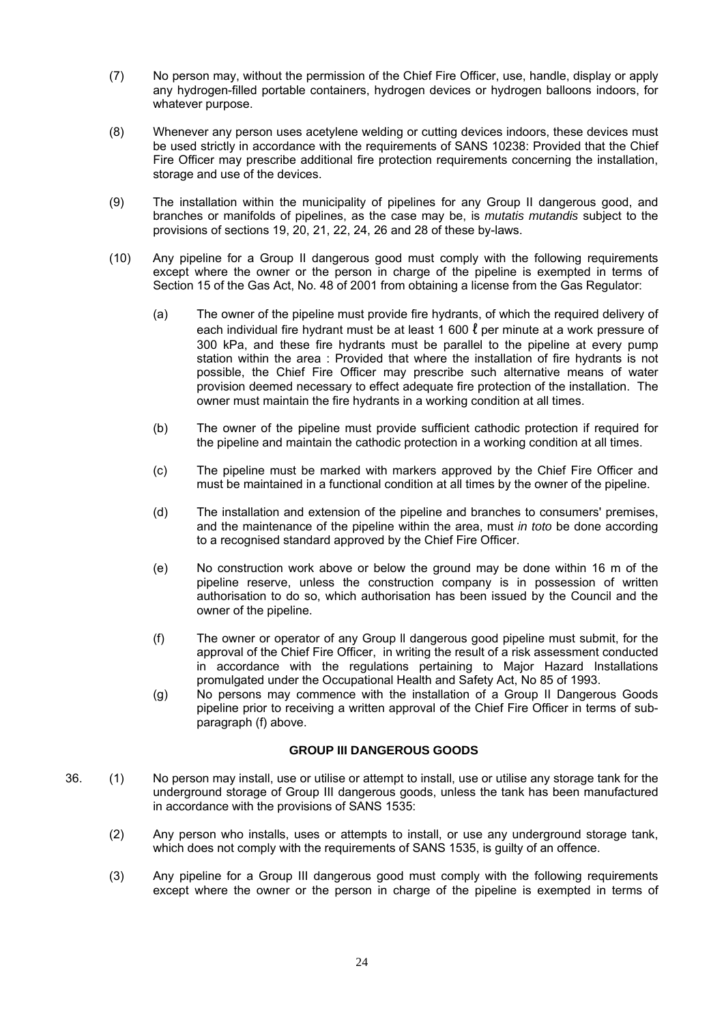- (7) No person may, without the permission of the Chief Fire Officer, use, handle, display or apply any hydrogen-filled portable containers, hydrogen devices or hydrogen balloons indoors, for whatever purpose.
- (8) Whenever any person uses acetylene welding or cutting devices indoors, these devices must be used strictly in accordance with the requirements of SANS 10238: Provided that the Chief Fire Officer may prescribe additional fire protection requirements concerning the installation, storage and use of the devices.
- (9) The installation within the municipality of pipelines for any Group II dangerous good, and branches or manifolds of pipelines, as the case may be, is *mutatis mutandis* subject to the provisions of sections 19, 20, 21, 22, 24, 26 and 28 of these by-laws.
- (10) Any pipeline for a Group II dangerous good must comply with the following requirements except where the owner or the person in charge of the pipeline is exempted in terms of Section 15 of the Gas Act, No. 48 of 2001 from obtaining a license from the Gas Regulator:
	- (a) The owner of the pipeline must provide fire hydrants, of which the required delivery of each individual fire hydrant must be at least 1 600  $\ell$  per minute at a work pressure of 300 kPa, and these fire hydrants must be parallel to the pipeline at every pump station within the area : Provided that where the installation of fire hydrants is not possible, the Chief Fire Officer may prescribe such alternative means of water provision deemed necessary to effect adequate fire protection of the installation. The owner must maintain the fire hydrants in a working condition at all times.
	- (b) The owner of the pipeline must provide sufficient cathodic protection if required for the pipeline and maintain the cathodic protection in a working condition at all times.
	- (c) The pipeline must be marked with markers approved by the Chief Fire Officer and must be maintained in a functional condition at all times by the owner of the pipeline.
	- (d) The installation and extension of the pipeline and branches to consumers' premises, and the maintenance of the pipeline within the area, must *in toto* be done according to a recognised standard approved by the Chief Fire Officer.
	- (e) No construction work above or below the ground may be done within 16 m of the pipeline reserve, unless the construction company is in possession of written authorisation to do so, which authorisation has been issued by the Council and the owner of the pipeline.
	- (f) The owner or operator of any Group ll dangerous good pipeline must submit, for the approval of the Chief Fire Officer, in writing the result of a risk assessment conducted in accordance with the regulations pertaining to Major Hazard Installations promulgated under the Occupational Health and Safety Act, No 85 of 1993.
	- (g) No persons may commence with the installation of a Group II Dangerous Goods pipeline prior to receiving a written approval of the Chief Fire Officer in terms of subparagraph (f) above.

## **GROUP III DANGEROUS GOODS**

- 36. (1) No person may install, use or utilise or attempt to install, use or utilise any storage tank for the underground storage of Group III dangerous goods, unless the tank has been manufactured in accordance with the provisions of SANS 1535:
	- (2) Any person who installs, uses or attempts to install, or use any underground storage tank, which does not comply with the requirements of SANS 1535, is guilty of an offence.
	- (3) Any pipeline for a Group III dangerous good must comply with the following requirements except where the owner or the person in charge of the pipeline is exempted in terms of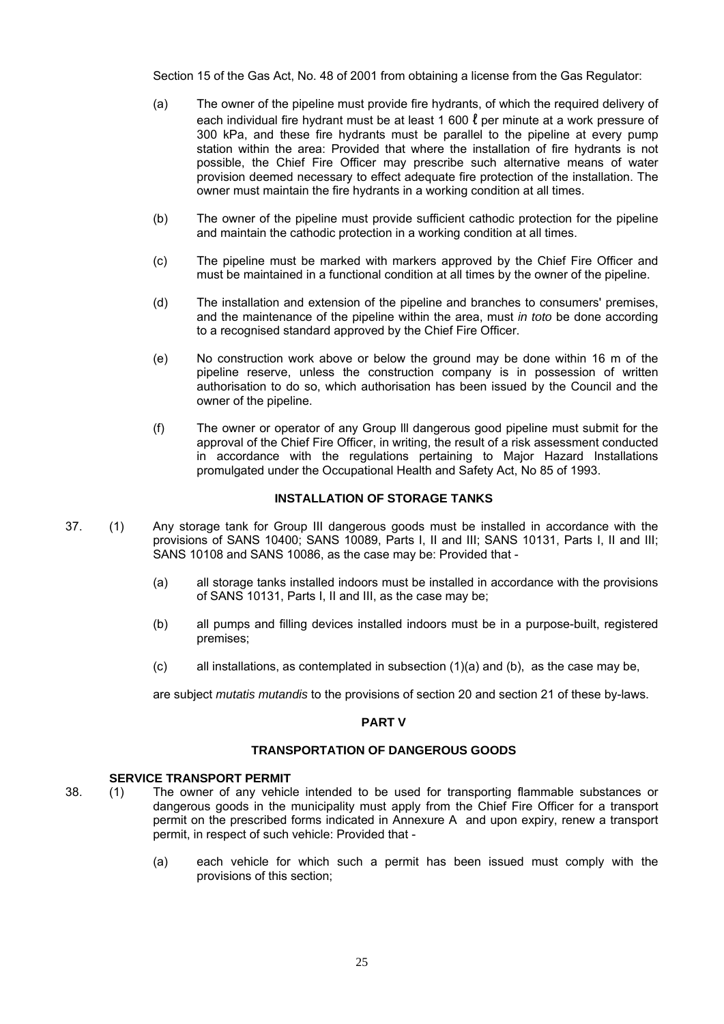Section 15 of the Gas Act, No. 48 of 2001 from obtaining a license from the Gas Regulator:

- (a) The owner of the pipeline must provide fire hydrants, of which the required delivery of each individual fire hydrant must be at least 1 600  $\ell$  per minute at a work pressure of 300 kPa, and these fire hydrants must be parallel to the pipeline at every pump station within the area: Provided that where the installation of fire hydrants is not possible, the Chief Fire Officer may prescribe such alternative means of water provision deemed necessary to effect adequate fire protection of the installation. The owner must maintain the fire hydrants in a working condition at all times.
- (b) The owner of the pipeline must provide sufficient cathodic protection for the pipeline and maintain the cathodic protection in a working condition at all times.
- (c) The pipeline must be marked with markers approved by the Chief Fire Officer and must be maintained in a functional condition at all times by the owner of the pipeline.
- (d) The installation and extension of the pipeline and branches to consumers' premises, and the maintenance of the pipeline within the area, must *in toto* be done according to a recognised standard approved by the Chief Fire Officer.
- (e) No construction work above or below the ground may be done within 16 m of the pipeline reserve, unless the construction company is in possession of written authorisation to do so, which authorisation has been issued by the Council and the owner of the pipeline.
- (f) The owner or operator of any Group lll dangerous good pipeline must submit for the approval of the Chief Fire Officer, in writing, the result of a risk assessment conducted in accordance with the regulations pertaining to Major Hazard Installations promulgated under the Occupational Health and Safety Act, No 85 of 1993.

## **INSTALLATION OF STORAGE TANKS**

- 37. (1) Any storage tank for Group III dangerous goods must be installed in accordance with the provisions of SANS 10400; SANS 10089, Parts I, II and III; SANS 10131, Parts I, II and III; SANS 10108 and SANS 10086, as the case may be: Provided that -
	- (a) all storage tanks installed indoors must be installed in accordance with the provisions of SANS 10131, Parts I, II and III, as the case may be;
	- (b) all pumps and filling devices installed indoors must be in a purpose-built, registered premises;
	- $(c)$  all installations, as contemplated in subsection  $(1)(a)$  and  $(b)$ , as the case may be,

are subject *mutatis mutandis* to the provisions of section 20 and section 21 of these by-laws.

#### **PART V**

## **TRANSPORTATION OF DANGEROUS GOODS**

#### **SERVICE TRANSPORT PERMIT**

- 38. (1) The owner of any vehicle intended to be used for transporting flammable substances or dangerous goods in the municipality must apply from the Chief Fire Officer for a transport permit on the prescribed forms indicated in Annexure A and upon expiry, renew a transport permit, in respect of such vehicle: Provided that -
	- (a) each vehicle for which such a permit has been issued must comply with the provisions of this section;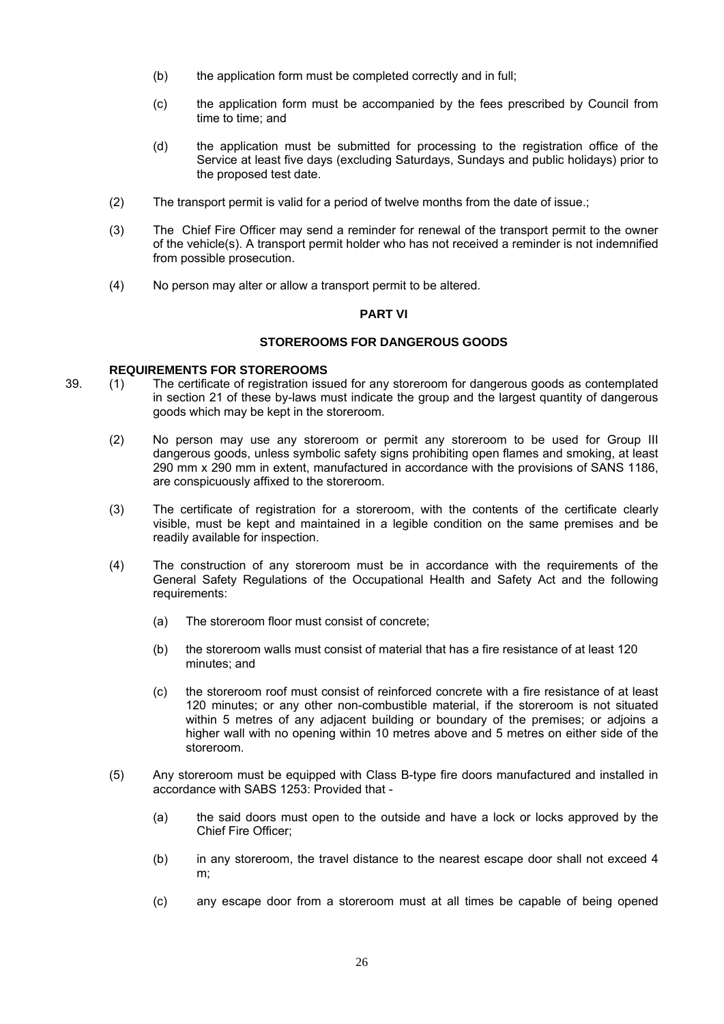- (b) the application form must be completed correctly and in full:
- (c) the application form must be accompanied by the fees prescribed by Council from time to time; and
- (d) the application must be submitted for processing to the registration office of the Service at least five days (excluding Saturdays, Sundays and public holidays) prior to the proposed test date.
- (2) The transport permit is valid for a period of twelve months from the date of issue.;
- (3) The Chief Fire Officer may send a reminder for renewal of the transport permit to the owner of the vehicle(s). A transport permit holder who has not received a reminder is not indemnified from possible prosecution.
- (4) No person may alter or allow a transport permit to be altered.

## **PART VI**

## **STOREROOMS FOR DANGEROUS GOODS**

#### **REQUIREMENTS FOR STOREROOMS**

- 39. (1) The certificate of registration issued for any storeroom for dangerous goods as contemplated in section 21 of these by-laws must indicate the group and the largest quantity of dangerous goods which may be kept in the storeroom.
	- (2) No person may use any storeroom or permit any storeroom to be used for Group III dangerous goods, unless symbolic safety signs prohibiting open flames and smoking, at least 290 mm x 290 mm in extent, manufactured in accordance with the provisions of SANS 1186, are conspicuously affixed to the storeroom.
	- (3) The certificate of registration for a storeroom, with the contents of the certificate clearly visible, must be kept and maintained in a legible condition on the same premises and be readily available for inspection.
	- (4) The construction of any storeroom must be in accordance with the requirements of the General Safety Regulations of the Occupational Health and Safety Act and the following requirements:
		- (a) The storeroom floor must consist of concrete;
		- (b) the storeroom walls must consist of material that has a fire resistance of at least 120 minutes; and
		- (c) the storeroom roof must consist of reinforced concrete with a fire resistance of at least 120 minutes; or any other non-combustible material, if the storeroom is not situated within 5 metres of any adjacent building or boundary of the premises; or adjoins a higher wall with no opening within 10 metres above and 5 metres on either side of the storeroom.
	- (5) Any storeroom must be equipped with Class B-type fire doors manufactured and installed in accordance with SABS 1253: Provided that -
		- (a) the said doors must open to the outside and have a lock or locks approved by the Chief Fire Officer;
		- (b) in any storeroom, the travel distance to the nearest escape door shall not exceed 4 m;
		- (c) any escape door from a storeroom must at all times be capable of being opened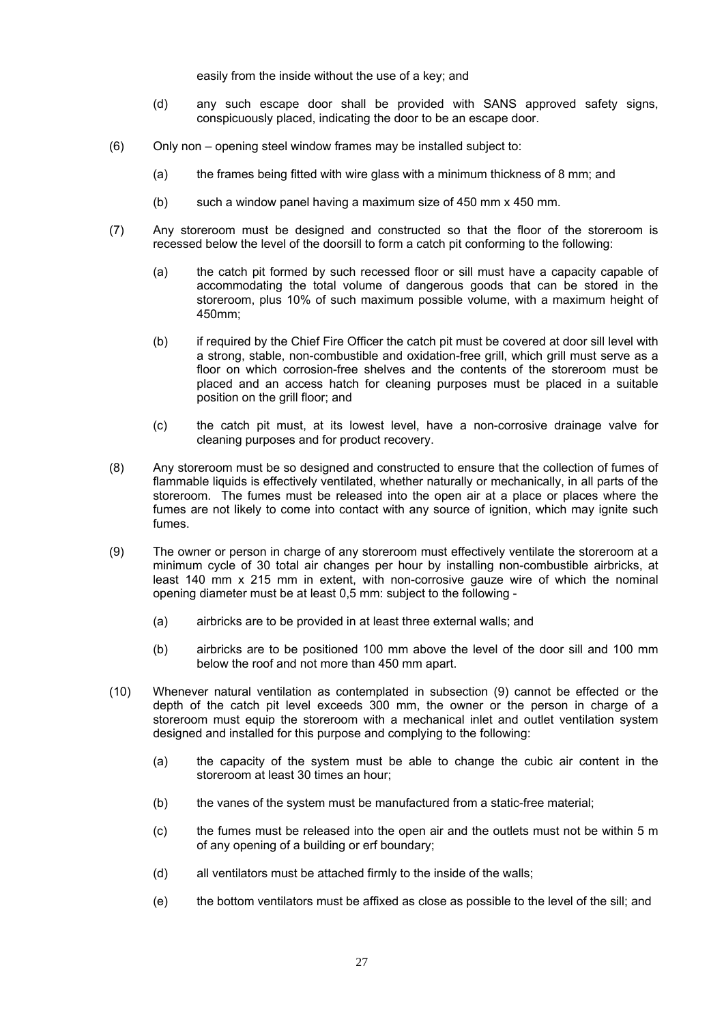easily from the inside without the use of a key; and

- (d) any such escape door shall be provided with SANS approved safety signs, conspicuously placed, indicating the door to be an escape door.
- (6) Only non opening steel window frames may be installed subject to:
	- (a) the frames being fitted with wire glass with a minimum thickness of 8 mm; and
	- (b) such a window panel having a maximum size of 450 mm x 450 mm.
- (7) Any storeroom must be designed and constructed so that the floor of the storeroom is recessed below the level of the doorsill to form a catch pit conforming to the following:
	- (a) the catch pit formed by such recessed floor or sill must have a capacity capable of accommodating the total volume of dangerous goods that can be stored in the storeroom, plus 10% of such maximum possible volume, with a maximum height of 450mm;
	- (b) if required by the Chief Fire Officer the catch pit must be covered at door sill level with a strong, stable, non-combustible and oxidation-free grill, which grill must serve as a floor on which corrosion-free shelves and the contents of the storeroom must be placed and an access hatch for cleaning purposes must be placed in a suitable position on the grill floor; and
	- (c) the catch pit must, at its lowest level, have a non-corrosive drainage valve for cleaning purposes and for product recovery.
- (8) Any storeroom must be so designed and constructed to ensure that the collection of fumes of flammable liquids is effectively ventilated, whether naturally or mechanically, in all parts of the storeroom. The fumes must be released into the open air at a place or places where the fumes are not likely to come into contact with any source of ignition, which may ignite such fumes.
- (9) The owner or person in charge of any storeroom must effectively ventilate the storeroom at a minimum cycle of 30 total air changes per hour by installing non-combustible airbricks, at least 140 mm x 215 mm in extent, with non-corrosive gauze wire of which the nominal opening diameter must be at least 0,5 mm: subject to the following -
	- (a) airbricks are to be provided in at least three external walls; and
	- (b) airbricks are to be positioned 100 mm above the level of the door sill and 100 mm below the roof and not more than 450 mm apart.
- (10) Whenever natural ventilation as contemplated in subsection (9) cannot be effected or the depth of the catch pit level exceeds 300 mm, the owner or the person in charge of a storeroom must equip the storeroom with a mechanical inlet and outlet ventilation system designed and installed for this purpose and complying to the following:
	- (a) the capacity of the system must be able to change the cubic air content in the storeroom at least 30 times an hour;
	- (b) the vanes of the system must be manufactured from a static-free material;
	- (c) the fumes must be released into the open air and the outlets must not be within 5 m of any opening of a building or erf boundary;
	- (d) all ventilators must be attached firmly to the inside of the walls;
	- (e) the bottom ventilators must be affixed as close as possible to the level of the sill; and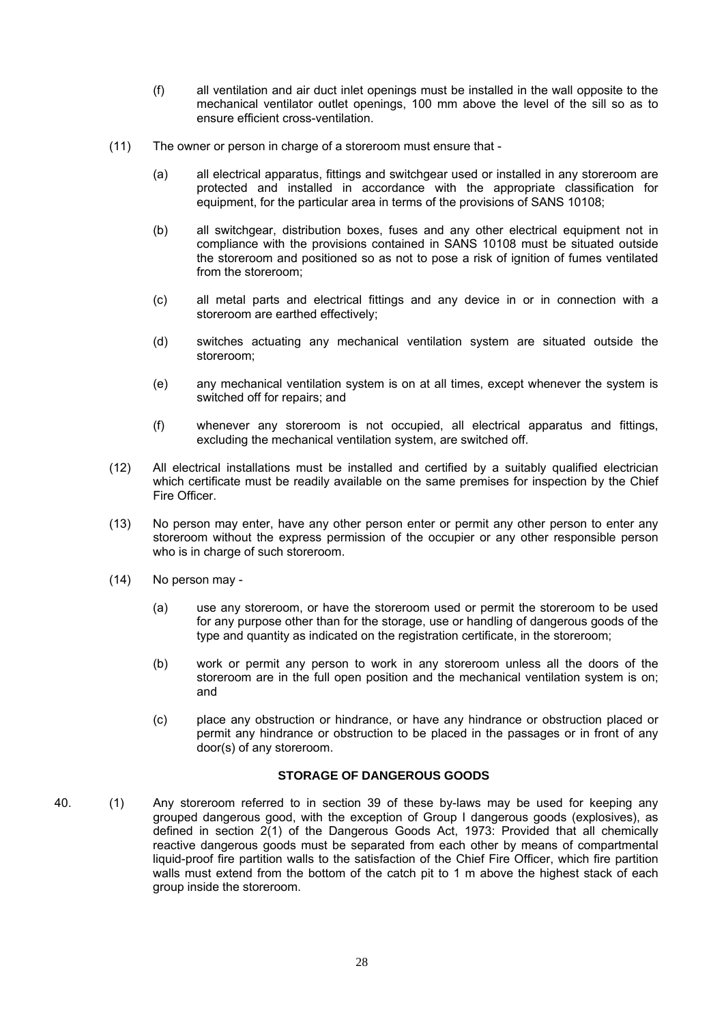- (f) all ventilation and air duct inlet openings must be installed in the wall opposite to the mechanical ventilator outlet openings, 100 mm above the level of the sill so as to ensure efficient cross-ventilation.
- (11) The owner or person in charge of a storeroom must ensure that
	- (a) all electrical apparatus, fittings and switchgear used or installed in any storeroom are protected and installed in accordance with the appropriate classification for equipment, for the particular area in terms of the provisions of SANS 10108;
	- (b) all switchgear, distribution boxes, fuses and any other electrical equipment not in compliance with the provisions contained in SANS 10108 must be situated outside the storeroom and positioned so as not to pose a risk of ignition of fumes ventilated from the storeroom;
	- (c) all metal parts and electrical fittings and any device in or in connection with a storeroom are earthed effectively;
	- (d) switches actuating any mechanical ventilation system are situated outside the storeroom;
	- (e) any mechanical ventilation system is on at all times, except whenever the system is switched off for repairs; and
	- (f) whenever any storeroom is not occupied, all electrical apparatus and fittings, excluding the mechanical ventilation system, are switched off.
- (12) All electrical installations must be installed and certified by a suitably qualified electrician which certificate must be readily available on the same premises for inspection by the Chief Fire Officer.
- (13) No person may enter, have any other person enter or permit any other person to enter any storeroom without the express permission of the occupier or any other responsible person who is in charge of such storeroom.
- (14) No person may
	- (a) use any storeroom, or have the storeroom used or permit the storeroom to be used for any purpose other than for the storage, use or handling of dangerous goods of the type and quantity as indicated on the registration certificate, in the storeroom;
	- (b) work or permit any person to work in any storeroom unless all the doors of the storeroom are in the full open position and the mechanical ventilation system is on; and
	- (c) place any obstruction or hindrance, or have any hindrance or obstruction placed or permit any hindrance or obstruction to be placed in the passages or in front of any door(s) of any storeroom.

## **STORAGE OF DANGEROUS GOODS**

40. (1) Any storeroom referred to in section 39 of these by-laws may be used for keeping any grouped dangerous good, with the exception of Group I dangerous goods (explosives), as defined in section 2(1) of the Dangerous Goods Act, 1973: Provided that all chemically reactive dangerous goods must be separated from each other by means of compartmental liquid-proof fire partition walls to the satisfaction of the Chief Fire Officer, which fire partition walls must extend from the bottom of the catch pit to 1 m above the highest stack of each group inside the storeroom.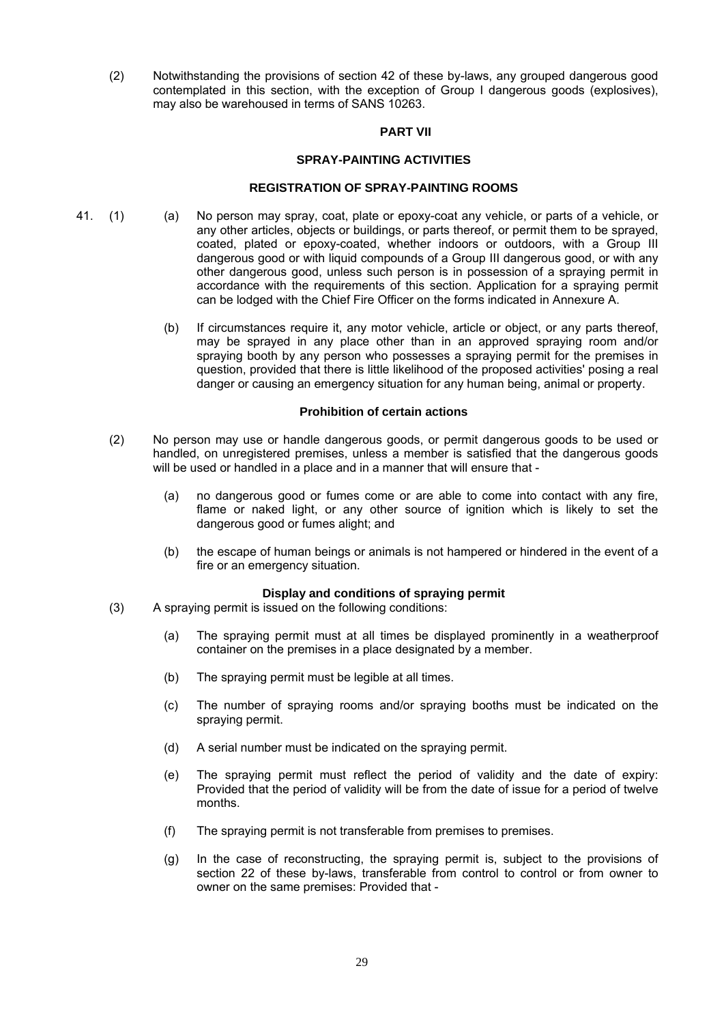(2) Notwithstanding the provisions of section 42 of these by-laws, any grouped dangerous good contemplated in this section, with the exception of Group I dangerous goods (explosives), may also be warehoused in terms of SANS 10263.

#### **PART VII**

#### **SPRAY-PAINTING ACTIVITIES**

#### **REGISTRATION OF SPRAY-PAINTING ROOMS**

- 41. (1) (a) No person may spray, coat, plate or epoxy-coat any vehicle, or parts of a vehicle, or any other articles, objects or buildings, or parts thereof, or permit them to be sprayed, coated, plated or epoxy-coated, whether indoors or outdoors, with a Group III dangerous good or with liquid compounds of a Group III dangerous good, or with any other dangerous good, unless such person is in possession of a spraying permit in accordance with the requirements of this section. Application for a spraying permit can be lodged with the Chief Fire Officer on the forms indicated in Annexure A.
	- (b) If circumstances require it, any motor vehicle, article or object, or any parts thereof, may be sprayed in any place other than in an approved spraying room and/or spraying booth by any person who possesses a spraying permit for the premises in question, provided that there is little likelihood of the proposed activities' posing a real danger or causing an emergency situation for any human being, animal or property.

#### **Prohibition of certain actions**

- (2) No person may use or handle dangerous goods, or permit dangerous goods to be used or handled, on unregistered premises, unless a member is satisfied that the dangerous goods will be used or handled in a place and in a manner that will ensure that -
	- (a) no dangerous good or fumes come or are able to come into contact with any fire, flame or naked light, or any other source of ignition which is likely to set the dangerous good or fumes alight; and
	- (b) the escape of human beings or animals is not hampered or hindered in the event of a fire or an emergency situation.

#### **Display and conditions of spraying permit**

- (3) A spraying permit is issued on the following conditions:
	- (a) The spraying permit must at all times be displayed prominently in a weatherproof container on the premises in a place designated by a member.
	- (b) The spraying permit must be legible at all times.
	- (c) The number of spraying rooms and/or spraying booths must be indicated on the spraying permit.
	- (d) A serial number must be indicated on the spraying permit.
	- (e) The spraying permit must reflect the period of validity and the date of expiry: Provided that the period of validity will be from the date of issue for a period of twelve months.
	- (f) The spraying permit is not transferable from premises to premises.
	- (g) In the case of reconstructing, the spraying permit is, subject to the provisions of section 22 of these by-laws, transferable from control to control or from owner to owner on the same premises: Provided that -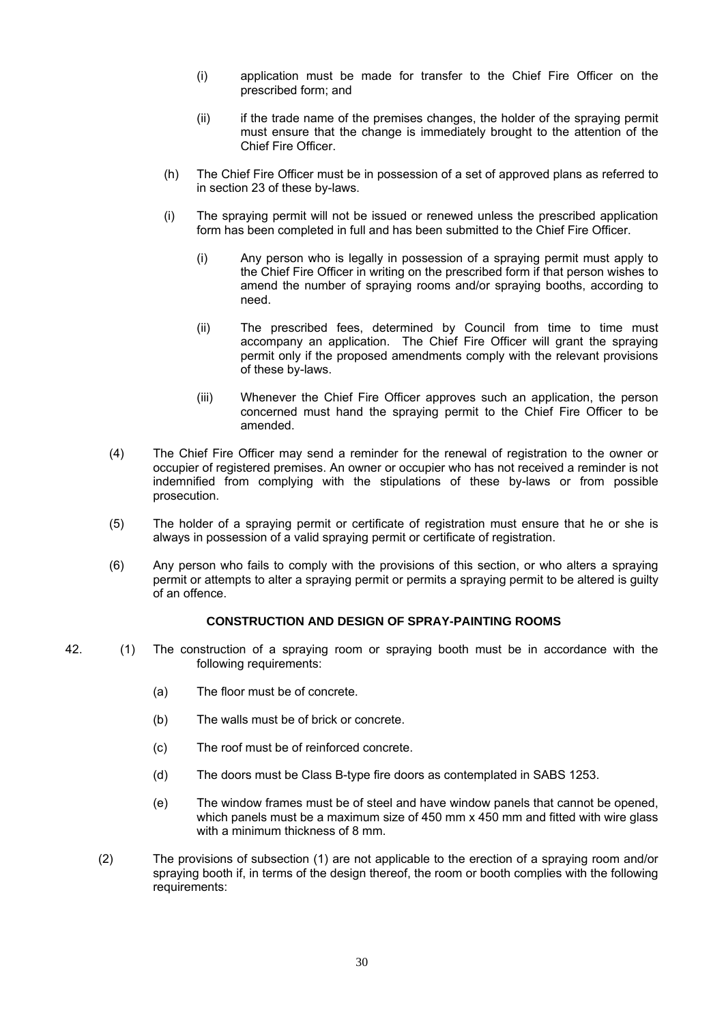- (i) application must be made for transfer to the Chief Fire Officer on the prescribed form; and
- (ii) if the trade name of the premises changes, the holder of the spraying permit must ensure that the change is immediately brought to the attention of the Chief Fire Officer.
- (h) The Chief Fire Officer must be in possession of a set of approved plans as referred to in section 23 of these by-laws.
- (i) The spraying permit will not be issued or renewed unless the prescribed application form has been completed in full and has been submitted to the Chief Fire Officer.
	- (i) Any person who is legally in possession of a spraying permit must apply to the Chief Fire Officer in writing on the prescribed form if that person wishes to amend the number of spraying rooms and/or spraying booths, according to need.
	- (ii) The prescribed fees, determined by Council from time to time must accompany an application. The Chief Fire Officer will grant the spraying permit only if the proposed amendments comply with the relevant provisions of these by-laws.
	- (iii) Whenever the Chief Fire Officer approves such an application, the person concerned must hand the spraying permit to the Chief Fire Officer to be amended.
- (4) The Chief Fire Officer may send a reminder for the renewal of registration to the owner or occupier of registered premises. An owner or occupier who has not received a reminder is not indemnified from complying with the stipulations of these by-laws or from possible prosecution.
- (5) The holder of a spraying permit or certificate of registration must ensure that he or she is always in possession of a valid spraying permit or certificate of registration.
- (6) Any person who fails to comply with the provisions of this section, or who alters a spraying permit or attempts to alter a spraying permit or permits a spraying permit to be altered is guilty of an offence.

## **CONSTRUCTION AND DESIGN OF SPRAY-PAINTING ROOMS**

- 42. (1) The construction of a spraying room or spraying booth must be in accordance with the following requirements:
	- (a) The floor must be of concrete.
	- (b) The walls must be of brick or concrete.
	- (c) The roof must be of reinforced concrete.
	- (d) The doors must be Class B-type fire doors as contemplated in SABS 1253.
	- (e) The window frames must be of steel and have window panels that cannot be opened, which panels must be a maximum size of 450 mm x 450 mm and fitted with wire glass with a minimum thickness of 8 mm.
	- (2) The provisions of subsection (1) are not applicable to the erection of a spraying room and/or spraying booth if, in terms of the design thereof, the room or booth complies with the following requirements: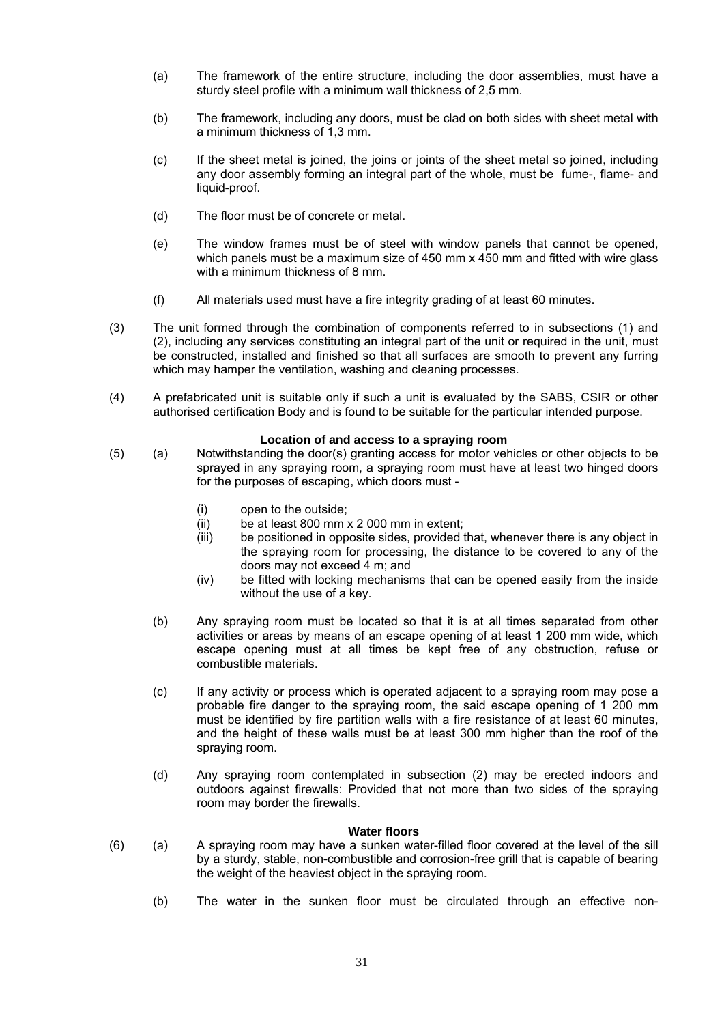- (a) The framework of the entire structure, including the door assemblies, must have a sturdy steel profile with a minimum wall thickness of 2,5 mm.
- (b) The framework, including any doors, must be clad on both sides with sheet metal with a minimum thickness of 1,3 mm.
- (c) If the sheet metal is joined, the joins or joints of the sheet metal so joined, including any door assembly forming an integral part of the whole, must be fume-, flame- and liquid-proof.
- (d) The floor must be of concrete or metal.
- (e) The window frames must be of steel with window panels that cannot be opened, which panels must be a maximum size of 450 mm x 450 mm and fitted with wire glass with a minimum thickness of 8 mm.
- (f) All materials used must have a fire integrity grading of at least 60 minutes.
- (3) The unit formed through the combination of components referred to in subsections (1) and (2), including any services constituting an integral part of the unit or required in the unit, must be constructed, installed and finished so that all surfaces are smooth to prevent any furring which may hamper the ventilation, washing and cleaning processes.
- (4) A prefabricated unit is suitable only if such a unit is evaluated by the SABS, CSIR or other authorised certification Body and is found to be suitable for the particular intended purpose.

#### **Location of and access to a spraying room**

- (5) (a) Notwithstanding the door(s) granting access for motor vehicles or other objects to be sprayed in any spraying room, a spraying room must have at least two hinged doors for the purposes of escaping, which doors must -
	- (i) open to the outside;
	- (ii) be at least 800 mm x 2 000 mm in extent;
	- (iii) be positioned in opposite sides, provided that, whenever there is any object in the spraying room for processing, the distance to be covered to any of the doors may not exceed 4 m; and
	- (iv) be fitted with locking mechanisms that can be opened easily from the inside without the use of a key.
	- (b) Any spraying room must be located so that it is at all times separated from other activities or areas by means of an escape opening of at least 1 200 mm wide, which escape opening must at all times be kept free of any obstruction, refuse or combustible materials.
	- (c) If any activity or process which is operated adjacent to a spraying room may pose a probable fire danger to the spraying room, the said escape opening of 1 200 mm must be identified by fire partition walls with a fire resistance of at least 60 minutes, and the height of these walls must be at least 300 mm higher than the roof of the spraying room.
	- (d) Any spraying room contemplated in subsection (2) may be erected indoors and outdoors against firewalls: Provided that not more than two sides of the spraying room may border the firewalls.

#### **Water floors**

- (6) (a) A spraying room may have a sunken water-filled floor covered at the level of the sill by a sturdy, stable, non-combustible and corrosion-free grill that is capable of bearing the weight of the heaviest object in the spraying room.
	- (b) The water in the sunken floor must be circulated through an effective non-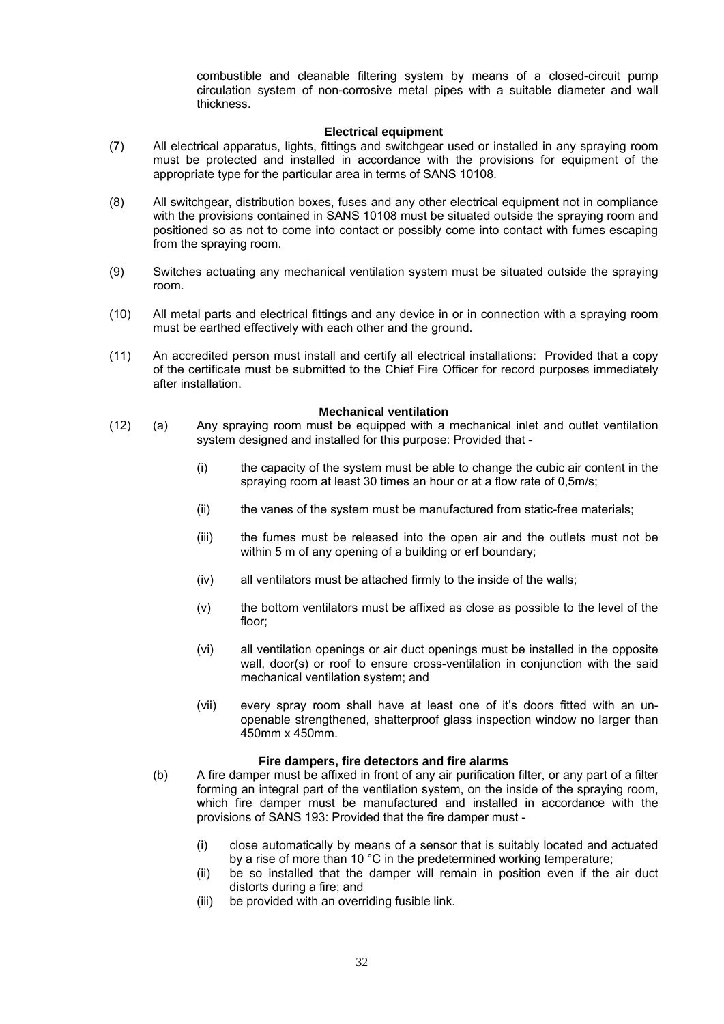combustible and cleanable filtering system by means of a closed-circuit pump circulation system of non-corrosive metal pipes with a suitable diameter and wall thickness.

#### **Electrical equipment**

- (7) All electrical apparatus, lights, fittings and switchgear used or installed in any spraying room must be protected and installed in accordance with the provisions for equipment of the appropriate type for the particular area in terms of SANS 10108.
- (8) All switchgear, distribution boxes, fuses and any other electrical equipment not in compliance with the provisions contained in SANS 10108 must be situated outside the spraying room and positioned so as not to come into contact or possibly come into contact with fumes escaping from the spraying room.
- (9) Switches actuating any mechanical ventilation system must be situated outside the spraying room.
- (10) All metal parts and electrical fittings and any device in or in connection with a spraying room must be earthed effectively with each other and the ground.
- (11) An accredited person must install and certify all electrical installations: Provided that a copy of the certificate must be submitted to the Chief Fire Officer for record purposes immediately after installation.

#### **Mechanical ventilation**

- (12) (a) Any spraying room must be equipped with a mechanical inlet and outlet ventilation system designed and installed for this purpose: Provided that -
	- (i) the capacity of the system must be able to change the cubic air content in the spraying room at least 30 times an hour or at a flow rate of 0,5m/s;
	- (ii) the vanes of the system must be manufactured from static-free materials;
	- (iii) the fumes must be released into the open air and the outlets must not be within 5 m of any opening of a building or erf boundary;
	- (iv) all ventilators must be attached firmly to the inside of the walls;
	- (v) the bottom ventilators must be affixed as close as possible to the level of the floor;
	- (vi) all ventilation openings or air duct openings must be installed in the opposite wall, door(s) or roof to ensure cross-ventilation in conjunction with the said mechanical ventilation system; and
	- (vii) every spray room shall have at least one of it's doors fitted with an unopenable strengthened, shatterproof glass inspection window no larger than 450mm x 450mm.

#### **Fire dampers, fire detectors and fire alarms**

- (b) A fire damper must be affixed in front of any air purification filter, or any part of a filter forming an integral part of the ventilation system, on the inside of the spraying room, which fire damper must be manufactured and installed in accordance with the provisions of SANS 193: Provided that the fire damper must -
	- (i) close automatically by means of a sensor that is suitably located and actuated by a rise of more than 10 °C in the predetermined working temperature;
	- (ii) be so installed that the damper will remain in position even if the air duct distorts during a fire; and
	- (iii) be provided with an overriding fusible link.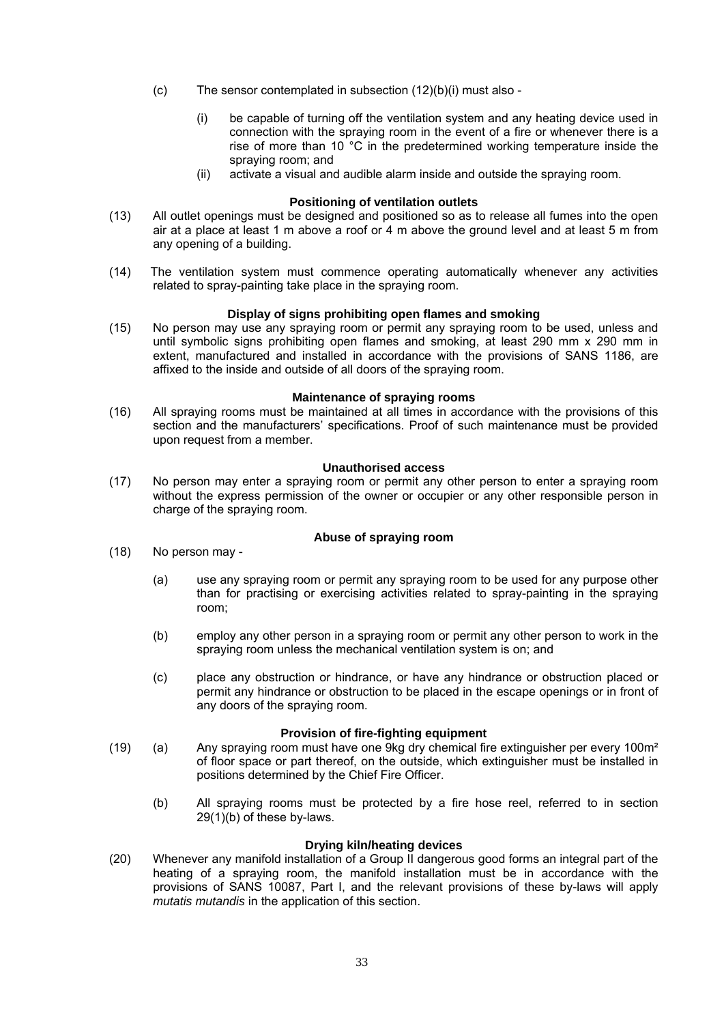- (c) The sensor contemplated in subsection (12)(b)(i) must also
	- (i) be capable of turning off the ventilation system and any heating device used in connection with the spraying room in the event of a fire or whenever there is a rise of more than 10 °C in the predetermined working temperature inside the spraying room; and
	- (ii) activate a visual and audible alarm inside and outside the spraying room.

#### **Positioning of ventilation outlets**

- (13) All outlet openings must be designed and positioned so as to release all fumes into the open air at a place at least 1 m above a roof or 4 m above the ground level and at least 5 m from any opening of a building.
- (14) The ventilation system must commence operating automatically whenever any activities related to spray-painting take place in the spraying room.

#### **Display of signs prohibiting open flames and smoking**

(15) No person may use any spraying room or permit any spraying room to be used, unless and until symbolic signs prohibiting open flames and smoking, at least 290 mm x 290 mm in extent, manufactured and installed in accordance with the provisions of SANS 1186, are affixed to the inside and outside of all doors of the spraying room.

#### **Maintenance of spraying rooms**

(16) All spraying rooms must be maintained at all times in accordance with the provisions of this section and the manufacturers' specifications. Proof of such maintenance must be provided upon request from a member.

#### **Unauthorised access**

(17) No person may enter a spraying room or permit any other person to enter a spraying room without the express permission of the owner or occupier or any other responsible person in charge of the spraying room.

#### **Abuse of spraying room**

- (18) No person may
	- (a) use any spraying room or permit any spraying room to be used for any purpose other than for practising or exercising activities related to spray-painting in the spraying room;
	- (b) employ any other person in a spraying room or permit any other person to work in the spraying room unless the mechanical ventilation system is on; and
	- (c) place any obstruction or hindrance, or have any hindrance or obstruction placed or permit any hindrance or obstruction to be placed in the escape openings or in front of any doors of the spraying room.

#### **Provision of fire-fighting equipment**

- (19) (a) Any spraying room must have one 9kg dry chemical fire extinguisher per every 100 $m<sup>2</sup>$ of floor space or part thereof, on the outside, which extinguisher must be installed in positions determined by the Chief Fire Officer.
	- (b) All spraying rooms must be protected by a fire hose reel, referred to in section 29(1)(b) of these by-laws.

## **Drying kiln/heating devices**

(20) Whenever any manifold installation of a Group II dangerous good forms an integral part of the heating of a spraying room, the manifold installation must be in accordance with the provisions of SANS 10087, Part I, and the relevant provisions of these by-laws will apply *mutatis mutandis* in the application of this section.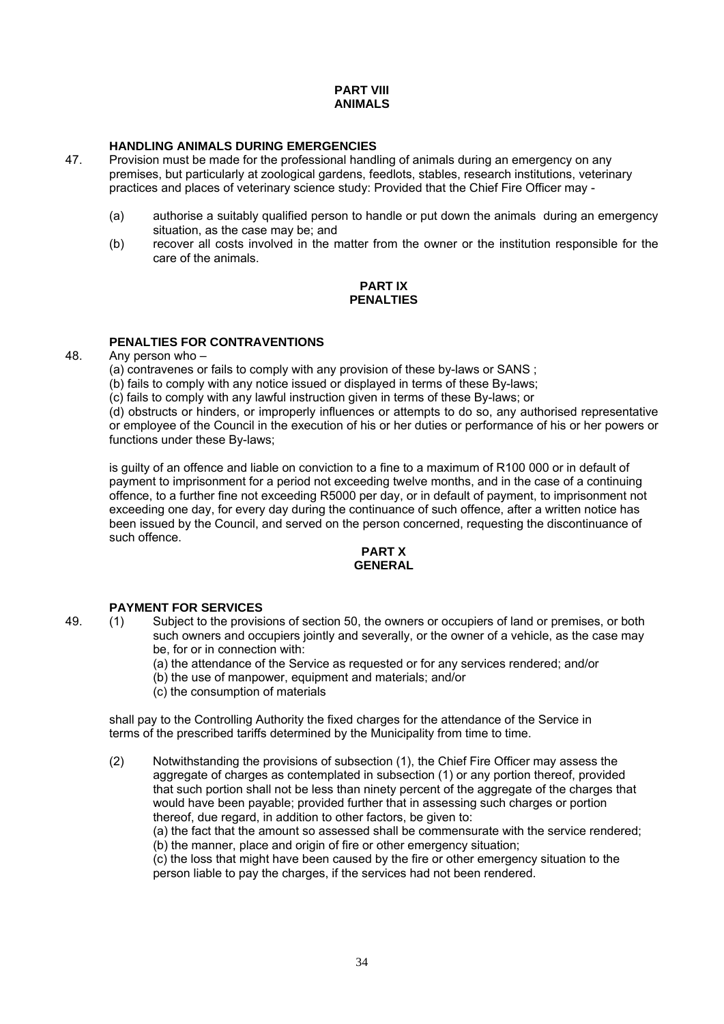## **PART VIII ANIMALS**

# **HANDLING ANIMALS DURING EMERGENCIES**<br>47. Provision must be made for the professional hand

- 47. Provision must be made for the professional handling of animals during an emergency on any premises, but particularly at zoological gardens, feedlots, stables, research institutions, veterinary practices and places of veterinary science study: Provided that the Chief Fire Officer may -
	- (a) authorise a suitably qualified person to handle or put down the animals during an emergency situation, as the case may be; and
	- (b) recover all costs involved in the matter from the owner or the institution responsible for the care of the animals.

## **PART IX PENALTIES**

## **PENALTIES FOR CONTRAVENTIONS**

48. Any person who –

(a) contravenes or fails to comply with any provision of these by-laws or SANS ;

(b) fails to comply with any notice issued or displayed in terms of these By-laws;

(c) fails to comply with any lawful instruction given in terms of these By-laws; or

(d) obstructs or hinders, or improperly influences or attempts to do so, any authorised representative or employee of the Council in the execution of his or her duties or performance of his or her powers or functions under these By-laws;

is guilty of an offence and liable on conviction to a fine to a maximum of R100 000 or in default of payment to imprisonment for a period not exceeding twelve months, and in the case of a continuing offence, to a further fine not exceeding R5000 per day, or in default of payment, to imprisonment not exceeding one day, for every day during the continuance of such offence, after a written notice has been issued by the Council, and served on the person concerned, requesting the discontinuance of such offence.

## **PART X GENERAL**

## **PAYMENT FOR SERVICES**<br>49 (1) Subject to the provis

- 49. (1) Subject to the provisions of section 50, the owners or occupiers of land or premises, or both such owners and occupiers jointly and severally, or the owner of a vehicle, as the case may be, for or in connection with:
	- (a) the attendance of the Service as requested or for any services rendered; and/or
	- (b) the use of manpower, equipment and materials; and/or
	- (c) the consumption of materials

shall pay to the Controlling Authority the fixed charges for the attendance of the Service in terms of the prescribed tariffs determined by the Municipality from time to time.

(2) Notwithstanding the provisions of subsection (1), the Chief Fire Officer may assess the aggregate of charges as contemplated in subsection (1) or any portion thereof, provided that such portion shall not be less than ninety percent of the aggregate of the charges that would have been payable; provided further that in assessing such charges or portion thereof, due regard, in addition to other factors, be given to:

(a) the fact that the amount so assessed shall be commensurate with the service rendered; (b) the manner, place and origin of fire or other emergency situation;

(c) the loss that might have been caused by the fire or other emergency situation to the person liable to pay the charges, if the services had not been rendered.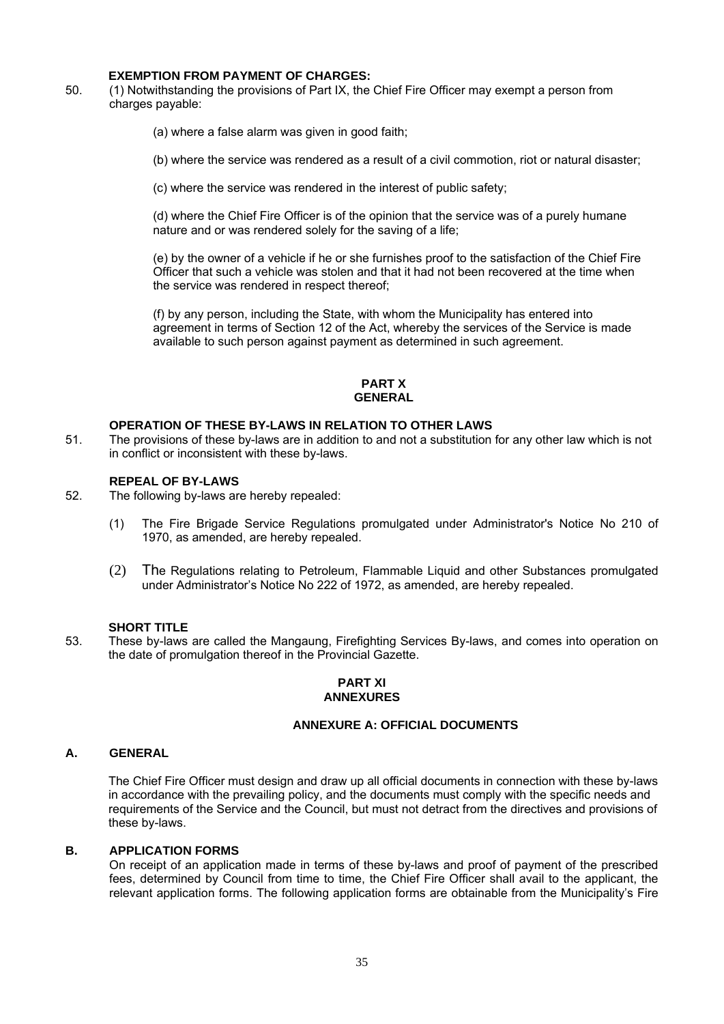## **EXEMPTION FROM PAYMENT OF CHARGES:**

50. (1) Notwithstanding the provisions of Part IX, the Chief Fire Officer may exempt a person from charges payable:

(a) where a false alarm was given in good faith;

(b) where the service was rendered as a result of a civil commotion, riot or natural disaster;

(c) where the service was rendered in the interest of public safety;

(d) where the Chief Fire Officer is of the opinion that the service was of a purely humane nature and or was rendered solely for the saving of a life;

(e) by the owner of a vehicle if he or she furnishes proof to the satisfaction of the Chief Fire Officer that such a vehicle was stolen and that it had not been recovered at the time when the service was rendered in respect thereof;

(f) by any person, including the State, with whom the Municipality has entered into agreement in terms of Section 12 of the Act, whereby the services of the Service is made available to such person against payment as determined in such agreement.

## **PART X GENERAL**

## **OPERATION OF THESE BY-LAWS IN RELATION TO OTHER LAWS**

51. The provisions of these by-laws are in addition to and not a substitution for any other law which is not in conflict or inconsistent with these by-laws.

## **REPEAL OF BY-LAWS**

- 52. The following by-laws are hereby repealed:
	- (1) The Fire Brigade Service Regulations promulgated under Administrator's Notice No 210 of 1970, as amended, are hereby repealed.
	- (2) The Regulations relating to Petroleum, Flammable Liquid and other Substances promulgated under Administrator's Notice No 222 of 1972, as amended, are hereby repealed.

#### **SHORT TITLE**

53. These by-laws are called the Mangaung, Firefighting Services By-laws, and comes into operation on the date of promulgation thereof in the Provincial Gazette.

#### **PART XI ANNEXURES**

## **ANNEXURE A: OFFICIAL DOCUMENTS**

## **A. GENERAL**

 The Chief Fire Officer must design and draw up all official documents in connection with these by-laws in accordance with the prevailing policy, and the documents must comply with the specific needs and requirements of the Service and the Council, but must not detract from the directives and provisions of these by-laws.

## **B. APPLICATION FORMS**

On receipt of an application made in terms of these by-laws and proof of payment of the prescribed fees, determined by Council from time to time, the Chief Fire Officer shall avail to the applicant, the relevant application forms. The following application forms are obtainable from the Municipality's Fire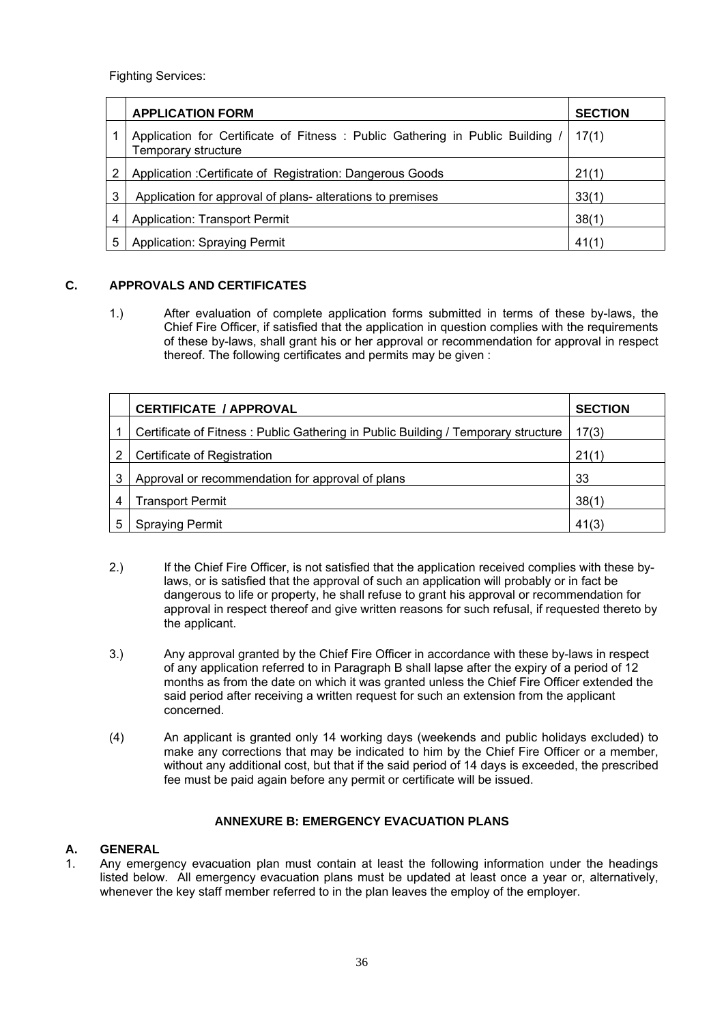Fighting Services:

|   | <b>APPLICATION FORM</b>                                                                             | <b>SECTION</b> |
|---|-----------------------------------------------------------------------------------------------------|----------------|
|   | Application for Certificate of Fitness: Public Gathering in Public Building,<br>Temporary structure | 17(1)          |
| 2 | Application: Certificate of Registration: Dangerous Goods                                           | 21(1)          |
| 3 | Application for approval of plans- alterations to premises                                          | 33(1)          |
| 4 | <b>Application: Transport Permit</b>                                                                | 38(1)          |
| 5 | Application: Spraying Permit                                                                        | 41(1)          |

## **C. APPROVALS AND CERTIFICATES**

1.) After evaluation of complete application forms submitted in terms of these by-laws, the Chief Fire Officer, if satisfied that the application in question complies with the requirements of these by-laws, shall grant his or her approval or recommendation for approval in respect thereof. The following certificates and permits may be given :

|   | <b>CERTIFICATE / APPROVAL</b>                                                     | <b>SECTION</b> |
|---|-----------------------------------------------------------------------------------|----------------|
|   | Certificate of Fitness: Public Gathering in Public Building / Temporary structure | 17(3)          |
| 2 | Certificate of Registration                                                       | 21(1)          |
| 3 | Approval or recommendation for approval of plans                                  | 33             |
| 4 | <b>Transport Permit</b>                                                           | 38(1)          |
| 5 | <b>Spraying Permit</b>                                                            | 41(3)          |

- 2.) If the Chief Fire Officer, is not satisfied that the application received complies with these bylaws, or is satisfied that the approval of such an application will probably or in fact be dangerous to life or property, he shall refuse to grant his approval or recommendation for approval in respect thereof and give written reasons for such refusal, if requested thereto by the applicant.
- 3.) Any approval granted by the Chief Fire Officer in accordance with these by-laws in respect of any application referred to in Paragraph B shall lapse after the expiry of a period of 12 months as from the date on which it was granted unless the Chief Fire Officer extended the said period after receiving a written request for such an extension from the applicant concerned.
- (4) An applicant is granted only 14 working days (weekends and public holidays excluded) to make any corrections that may be indicated to him by the Chief Fire Officer or a member, without any additional cost, but that if the said period of 14 days is exceeded, the prescribed fee must be paid again before any permit or certificate will be issued.

## **ANNEXURE B: EMERGENCY EVACUATION PLANS**

## **A. GENERAL**

1. Any emergency evacuation plan must contain at least the following information under the headings listed below. All emergency evacuation plans must be updated at least once a year or, alternatively, whenever the key staff member referred to in the plan leaves the employ of the employer.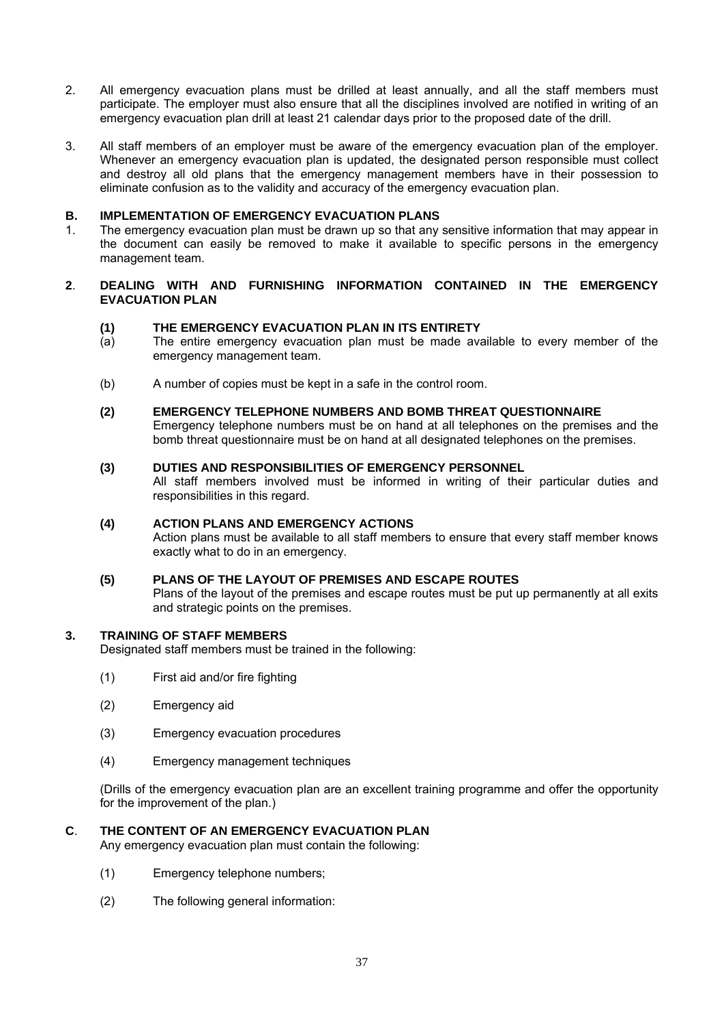- 2. All emergency evacuation plans must be drilled at least annually, and all the staff members must participate. The employer must also ensure that all the disciplines involved are notified in writing of an emergency evacuation plan drill at least 21 calendar days prior to the proposed date of the drill.
- 3. All staff members of an employer must be aware of the emergency evacuation plan of the employer. Whenever an emergency evacuation plan is updated, the designated person responsible must collect and destroy all old plans that the emergency management members have in their possession to eliminate confusion as to the validity and accuracy of the emergency evacuation plan.

## **B. IMPLEMENTATION OF EMERGENCY EVACUATION PLANS**

1. The emergency evacuation plan must be drawn up so that any sensitive information that may appear in the document can easily be removed to make it available to specific persons in the emergency management team.

## **2**. **DEALING WITH AND FURNISHING INFORMATION CONTAINED IN THE EMERGENCY EVACUATION PLAN**

## **(1) THE EMERGENCY EVACUATION PLAN IN ITS ENTIRETY**

- (a) The entire emergency evacuation plan must be made available to every member of the emergency management team.
- (b) A number of copies must be kept in a safe in the control room.
- **(2) EMERGENCY TELEPHONE NUMBERS AND BOMB THREAT QUESTIONNAIRE**  Emergency telephone numbers must be on hand at all telephones on the premises and the bomb threat questionnaire must be on hand at all designated telephones on the premises.

#### **(3) DUTIES AND RESPONSIBILITIES OF EMERGENCY PERSONNEL**

 All staff members involved must be informed in writing of their particular duties and responsibilities in this regard.

## **(4) ACTION PLANS AND EMERGENCY ACTIONS**

 Action plans must be available to all staff members to ensure that every staff member knows exactly what to do in an emergency.

## **(5) PLANS OF THE LAYOUT OF PREMISES AND ESCAPE ROUTES**

 Plans of the layout of the premises and escape routes must be put up permanently at all exits and strategic points on the premises.

## **3. TRAINING OF STAFF MEMBERS**

Designated staff members must be trained in the following:

- (1) First aid and/or fire fighting
- (2) Emergency aid
- (3) Emergency evacuation procedures
- (4) Emergency management techniques

 (Drills of the emergency evacuation plan are an excellent training programme and offer the opportunity for the improvement of the plan.)

## **C**. **THE CONTENT OF AN EMERGENCY EVACUATION PLAN**

Any emergency evacuation plan must contain the following:

- (1) Emergency telephone numbers;
- (2) The following general information: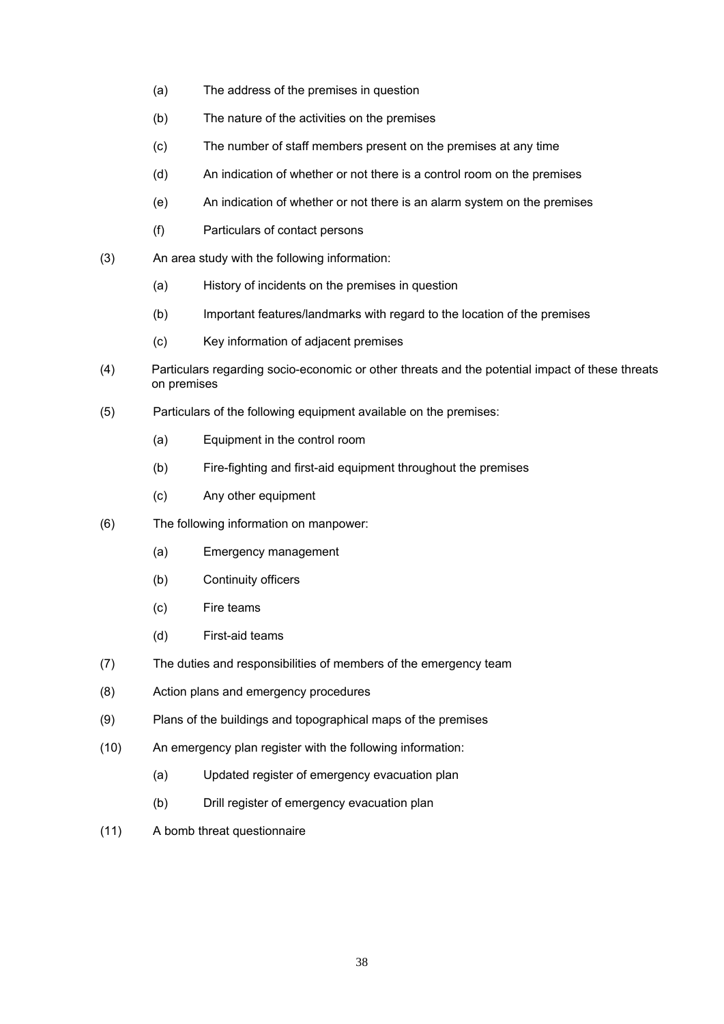- (a) The address of the premises in question
- (b) The nature of the activities on the premises
- (c) The number of staff members present on the premises at any time
- (d) An indication of whether or not there is a control room on the premises
- (e) An indication of whether or not there is an alarm system on the premises
- (f) Particulars of contact persons
- (3) An area study with the following information:
	- (a) History of incidents on the premises in question
	- (b) Important features/landmarks with regard to the location of the premises
	- (c) Key information of adjacent premises
- (4) Particulars regarding socio-economic or other threats and the potential impact of these threats on premises
- (5) Particulars of the following equipment available on the premises:
	- (a) Equipment in the control room
	- (b) Fire-fighting and first-aid equipment throughout the premises
	- (c) Any other equipment
- (6) The following information on manpower:
	- (a) Emergency management
	- (b) Continuity officers
	- (c) Fire teams
	- (d) First-aid teams
- (7) The duties and responsibilities of members of the emergency team
- (8) Action plans and emergency procedures
- (9) Plans of the buildings and topographical maps of the premises
- (10) An emergency plan register with the following information:
	- (a) Updated register of emergency evacuation plan
	- (b) Drill register of emergency evacuation plan
- (11) A bomb threat questionnaire